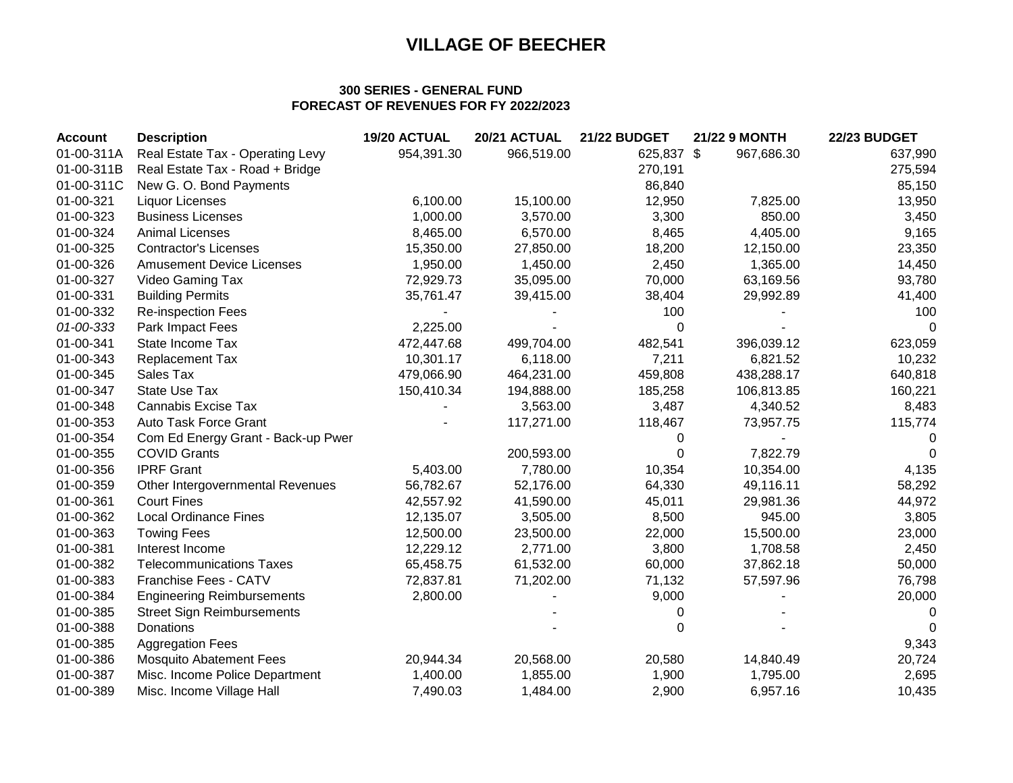### **300 SERIES - GENERAL FUND FORECAST OF REVENUES FOR FY 2022/2023**

| <b>Account</b> | <b>Description</b>                 | 19/20 ACTUAL | 20/21 ACTUAL | <b>21/22 BUDGET</b> | <b>21/22 9 MONTH</b> | <b>22/23 BUDGET</b> |
|----------------|------------------------------------|--------------|--------------|---------------------|----------------------|---------------------|
| 01-00-311A     | Real Estate Tax - Operating Levy   | 954,391.30   | 966,519.00   | 625,837 \$          | 967,686.30           | 637,990             |
| 01-00-311B     | Real Estate Tax - Road + Bridge    |              |              | 270,191             |                      | 275,594             |
| 01-00-311C     | New G. O. Bond Payments            |              |              | 86,840              |                      | 85,150              |
| 01-00-321      | Liquor Licenses                    | 6,100.00     | 15,100.00    | 12,950              | 7,825.00             | 13,950              |
| 01-00-323      | <b>Business Licenses</b>           | 1,000.00     | 3,570.00     | 3,300               | 850.00               | 3,450               |
| 01-00-324      | <b>Animal Licenses</b>             | 8,465.00     | 6,570.00     | 8,465               | 4,405.00             | 9,165               |
| 01-00-325      | <b>Contractor's Licenses</b>       | 15,350.00    | 27,850.00    | 18,200              | 12,150.00            | 23,350              |
| 01-00-326      | <b>Amusement Device Licenses</b>   | 1,950.00     | 1,450.00     | 2,450               | 1,365.00             | 14,450              |
| 01-00-327      | Video Gaming Tax                   | 72,929.73    | 35,095.00    | 70,000              | 63,169.56            | 93,780              |
| 01-00-331      | <b>Building Permits</b>            | 35,761.47    | 39,415.00    | 38,404              | 29,992.89            | 41,400              |
| 01-00-332      | <b>Re-inspection Fees</b>          |              |              | 100                 |                      | 100                 |
| 01-00-333      | Park Impact Fees                   | 2,225.00     |              | $\Omega$            |                      | $\Omega$            |
| 01-00-341      | State Income Tax                   | 472,447.68   | 499,704.00   | 482,541             | 396,039.12           | 623,059             |
| 01-00-343      | <b>Replacement Tax</b>             | 10,301.17    | 6,118.00     | 7,211               | 6,821.52             | 10,232              |
| 01-00-345      | Sales Tax                          | 479,066.90   | 464,231.00   | 459,808             | 438,288.17           | 640,818             |
| 01-00-347      | <b>State Use Tax</b>               | 150,410.34   | 194,888.00   | 185,258             | 106,813.85           | 160,221             |
| 01-00-348      | Cannabis Excise Tax                |              | 3,563.00     | 3,487               | 4,340.52             | 8,483               |
| 01-00-353      | Auto Task Force Grant              |              | 117,271.00   | 118,467             | 73,957.75            | 115,774             |
| 01-00-354      | Com Ed Energy Grant - Back-up Pwer |              |              | 0                   |                      | 0                   |
| 01-00-355      | <b>COVID Grants</b>                |              | 200,593.00   | 0                   | 7,822.79             | 0                   |
| 01-00-356      | <b>IPRF Grant</b>                  | 5,403.00     | 7,780.00     | 10,354              | 10,354.00            | 4,135               |
| 01-00-359      | Other Intergovernmental Revenues   | 56,782.67    | 52,176.00    | 64,330              | 49,116.11            | 58,292              |
| 01-00-361      | <b>Court Fines</b>                 | 42,557.92    | 41,590.00    | 45,011              | 29,981.36            | 44,972              |
| 01-00-362      | <b>Local Ordinance Fines</b>       | 12,135.07    | 3,505.00     | 8,500               | 945.00               | 3,805               |
| 01-00-363      | <b>Towing Fees</b>                 | 12,500.00    | 23,500.00    | 22,000              | 15,500.00            | 23,000              |
| 01-00-381      | Interest Income                    | 12,229.12    | 2,771.00     | 3,800               | 1,708.58             | 2,450               |
| 01-00-382      | <b>Telecommunications Taxes</b>    | 65,458.75    | 61,532.00    | 60,000              | 37,862.18            | 50,000              |
| 01-00-383      | Franchise Fees - CATV              | 72,837.81    | 71,202.00    | 71,132              | 57,597.96            | 76,798              |
| 01-00-384      | <b>Engineering Reimbursements</b>  | 2,800.00     |              | 9,000               |                      | 20,000              |
| 01-00-385      | <b>Street Sign Reimbursements</b>  |              |              | 0                   |                      | 0                   |
| 01-00-388      | Donations                          |              |              | 0                   |                      | $\Omega$            |
| 01-00-385      | <b>Aggregation Fees</b>            |              |              |                     |                      | 9,343               |
| 01-00-386      | <b>Mosquito Abatement Fees</b>     | 20,944.34    | 20,568.00    | 20,580              | 14,840.49            | 20,724              |
| 01-00-387      | Misc. Income Police Department     | 1,400.00     | 1,855.00     | 1,900               | 1,795.00             | 2,695               |
| 01-00-389      | Misc. Income Village Hall          | 7,490.03     | 1,484.00     | 2,900               | 6,957.16             | 10,435              |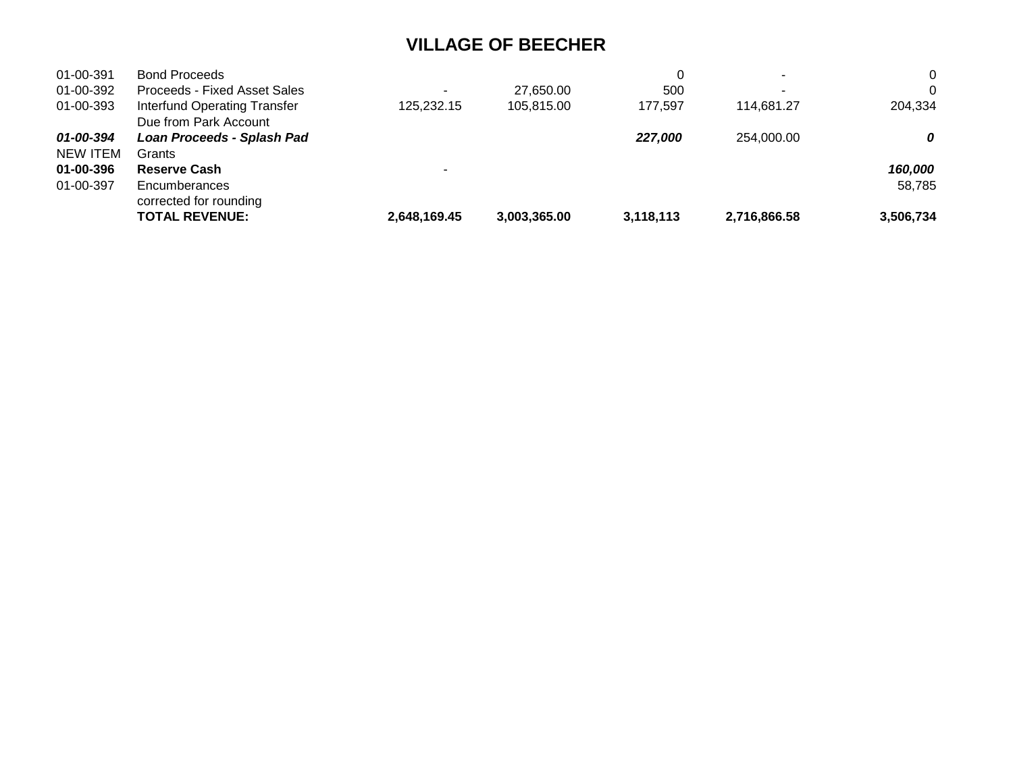| 01-00-391 | <b>Bond Proceeds</b>                |              |              | 0         | ٠            | $\Omega$  |
|-----------|-------------------------------------|--------------|--------------|-----------|--------------|-----------|
| 01-00-392 | <b>Proceeds - Fixed Asset Sales</b> |              | 27.650.00    | 500       | ٠            | 0         |
| 01-00-393 | Interfund Operating Transfer        | 125.232.15   | 105,815.00   | 177.597   | 114.681.27   | 204,334   |
|           | Due from Park Account               |              |              |           |              |           |
| 01-00-394 | Loan Proceeds - Splash Pad          |              |              | 227,000   | 254,000,00   | 0         |
| NEW ITEM  | Grants                              |              |              |           |              |           |
| 01-00-396 | <b>Reserve Cash</b>                 |              |              |           |              | 160,000   |
| 01-00-397 | Encumberances                       |              |              |           |              | 58,785    |
|           | corrected for rounding              |              |              |           |              |           |
|           | <b>TOTAL REVENUE:</b>               | 2,648,169.45 | 3,003,365.00 | 3,118,113 | 2,716,866.58 | 3,506,734 |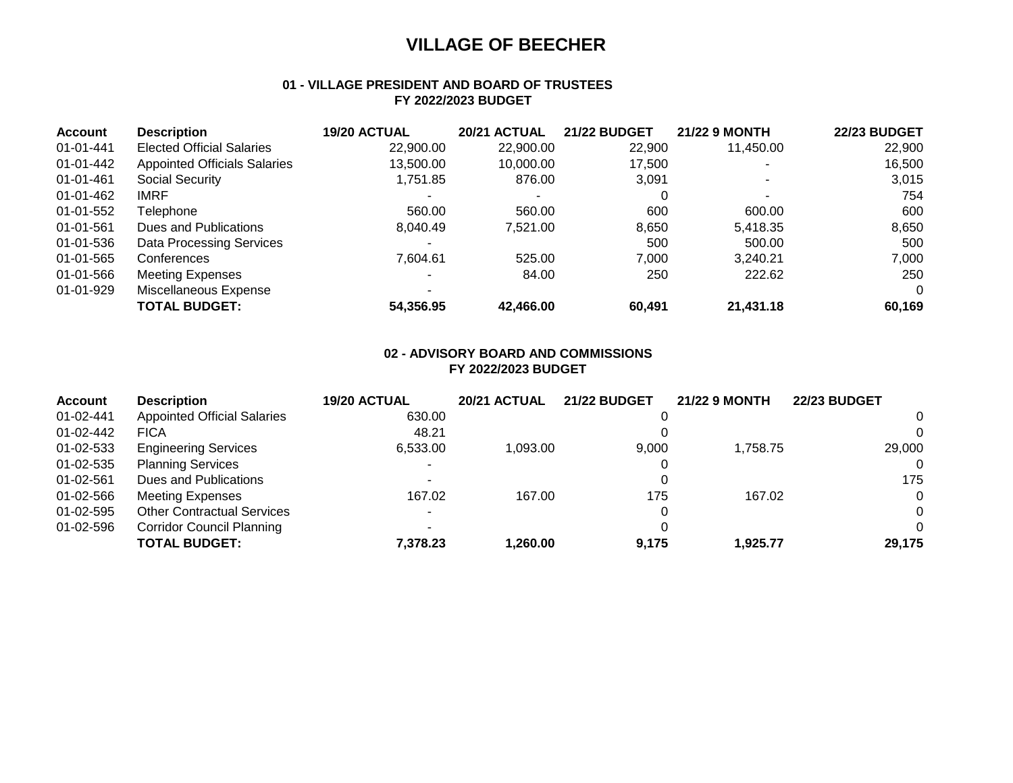### **01 - VILLAGE PRESIDENT AND BOARD OF TRUSTEES FY 2022/2023 BUDGET**

| <b>Account</b> | <b>Description</b>                  | 19/20 ACTUAL | 20/21 ACTUAL | <b>21/22 BUDGET</b> | <b>21/22 9 MONTH</b> | <b>22/23 BUDGET</b> |
|----------------|-------------------------------------|--------------|--------------|---------------------|----------------------|---------------------|
| 01-01-441      | <b>Elected Official Salaries</b>    | 22,900.00    | 22,900.00    | 22,900              | 11,450.00            | 22,900              |
| 01-01-442      | <b>Appointed Officials Salaries</b> | 13,500.00    | 10,000.00    | 17,500              |                      | 16,500              |
| 01-01-461      | Social Security                     | 1.751.85     | 876.00       | 3,091               |                      | 3,015               |
| 01-01-462      | <b>IMRF</b>                         |              |              | 0                   |                      | 754                 |
| 01-01-552      | Telephone                           | 560.00       | 560.00       | 600                 | 600.00               | 600                 |
| 01-01-561      | Dues and Publications               | 8.040.49     | 7.521.00     | 8,650               | 5,418.35             | 8,650               |
| 01-01-536      | Data Processing Services            |              |              | 500                 | 500.00               | 500                 |
| 01-01-565      | Conferences                         | 7.604.61     | 525.00       | 7.000               | 3.240.21             | 7,000               |
| 01-01-566      | <b>Meeting Expenses</b>             |              | 84.00        | 250                 | 222.62               | 250                 |
| 01-01-929      | Miscellaneous Expense               |              |              |                     |                      | $\Omega$            |
|                | <b>TOTAL BUDGET:</b>                | 54,356.95    | 42,466.00    | 60.491              | 21,431.18            | 60,169              |

### **02 - ADVISORY BOARD AND COMMISSIONS FY 2022/2023 BUDGET**

| <b>Account</b> | <b>Description</b>                 | 19/20 ACTUAL | 20/21 ACTUAL | <b>21/22 BUDGET</b> | <b>21/22 9 MONTH</b> | <b>22/23 BUDGET</b> |
|----------------|------------------------------------|--------------|--------------|---------------------|----------------------|---------------------|
| 01-02-441      | <b>Appointed Official Salaries</b> | 630.00       |              |                     |                      | $\Omega$            |
| 01-02-442      | <b>FICA</b>                        | 48.21        |              |                     |                      | $\Omega$            |
| 01-02-533      | <b>Engineering Services</b>        | 6,533.00     | 1.093.00     | 9,000               | 1.758.75             | 29,000              |
| 01-02-535      | <b>Planning Services</b>           |              |              |                     |                      | $\Omega$            |
| 01-02-561      | Dues and Publications              |              |              |                     |                      | 175                 |
| 01-02-566      | <b>Meeting Expenses</b>            | 167.02       | 167.00       | 175                 | 167.02               | $\Omega$            |
| 01-02-595      | <b>Other Contractual Services</b>  | $\sim$       |              |                     |                      | $\Omega$            |
| 01-02-596      | <b>Corridor Council Planning</b>   |              |              |                     |                      | $\Omega$            |
|                | <b>TOTAL BUDGET:</b>               | 7,378.23     | 1,260.00     | 9.175               | 1.925.77             | 29,175              |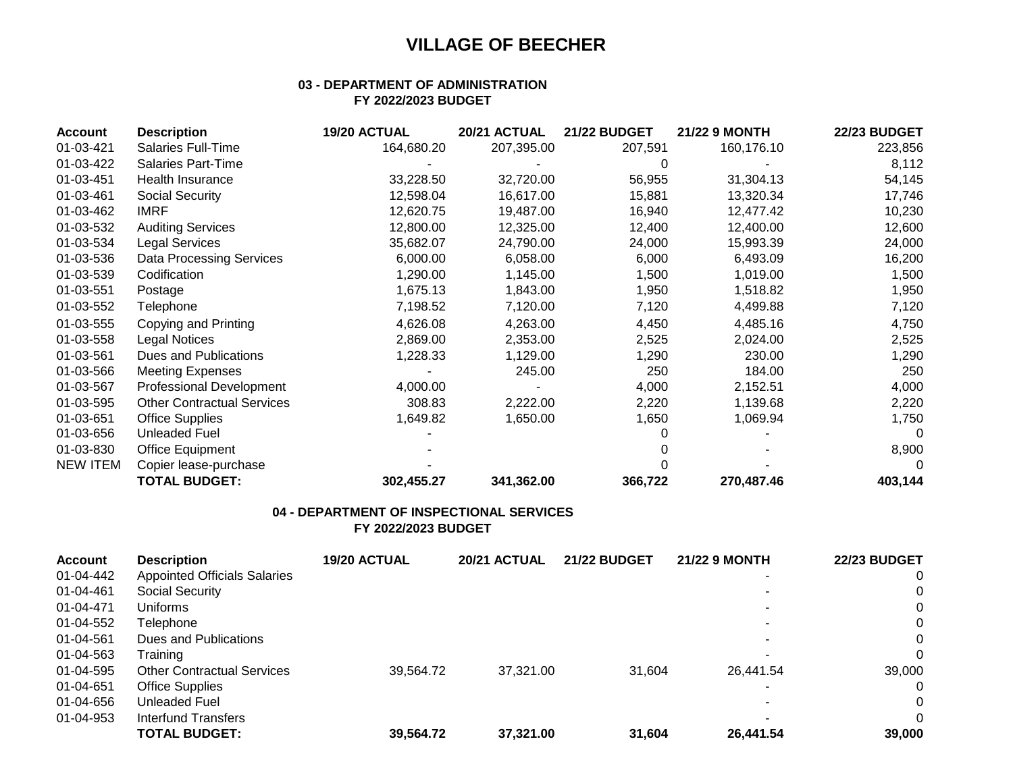### **03 - DEPARTMENT OF ADMINISTRATION FY 2022/2023 BUDGET**

| Account         | <b>Description</b>                | 19/20 ACTUAL | 20/21 ACTUAL | <b>21/22 BUDGET</b> | <b>21/22 9 MONTH</b> | <b>22/23 BUDGET</b> |
|-----------------|-----------------------------------|--------------|--------------|---------------------|----------------------|---------------------|
| 01-03-421       | <b>Salaries Full-Time</b>         | 164,680.20   | 207,395.00   | 207,591             | 160,176.10           | 223,856             |
| 01-03-422       | <b>Salaries Part-Time</b>         |              |              |                     |                      | 8,112               |
| 01-03-451       | Health Insurance                  | 33,228.50    | 32,720.00    | 56,955              | 31,304.13            | 54,145              |
| 01-03-461       | Social Security                   | 12,598.04    | 16,617.00    | 15,881              | 13,320.34            | 17,746              |
| 01-03-462       | <b>IMRF</b>                       | 12,620.75    | 19,487.00    | 16,940              | 12,477.42            | 10,230              |
| 01-03-532       | <b>Auditing Services</b>          | 12,800.00    | 12,325.00    | 12,400              | 12,400.00            | 12,600              |
| 01-03-534       | Legal Services                    | 35,682.07    | 24,790.00    | 24,000              | 15,993.39            | 24,000              |
| 01-03-536       | <b>Data Processing Services</b>   | 6,000.00     | 6,058.00     | 6,000               | 6,493.09             | 16,200              |
| 01-03-539       | Codification                      | 1,290.00     | 1,145.00     | 1,500               | 1,019.00             | 1,500               |
| 01-03-551       | Postage                           | 1,675.13     | 1,843.00     | 1,950               | 1,518.82             | 1,950               |
| 01-03-552       | Telephone                         | 7,198.52     | 7,120.00     | 7,120               | 4,499.88             | 7,120               |
| 01-03-555       | Copying and Printing              | 4,626.08     | 4,263.00     | 4,450               | 4,485.16             | 4,750               |
| 01-03-558       | Legal Notices                     | 2,869.00     | 2,353.00     | 2,525               | 2,024.00             | 2,525               |
| 01-03-561       | Dues and Publications             | 1,228.33     | 1,129.00     | 1,290               | 230.00               | 1,290               |
| 01-03-566       | <b>Meeting Expenses</b>           |              | 245.00       | 250                 | 184.00               | 250                 |
| 01-03-567       | <b>Professional Development</b>   | 4,000.00     |              | 4,000               | 2,152.51             | 4,000               |
| 01-03-595       | <b>Other Contractual Services</b> | 308.83       | 2,222.00     | 2,220               | 1,139.68             | 2,220               |
| 01-03-651       | <b>Office Supplies</b>            | 1,649.82     | 1,650.00     | 1,650               | 1,069.94             | 1,750               |
| 01-03-656       | <b>Unleaded Fuel</b>              |              |              |                     |                      | 0                   |
| 01-03-830       | <b>Office Equipment</b>           |              |              |                     |                      | 8,900               |
| <b>NEW ITEM</b> | Copier lease-purchase             |              |              |                     |                      | 0                   |
|                 | <b>TOTAL BUDGET:</b>              | 302,455.27   | 341,362.00   | 366,722             | 270,487.46           | 403,144             |

# **04 - DEPARTMENT OF INSPECTIONAL SERVICES**

**FY 2022/2023 BUDGET**

| <b>Account</b> | <b>Description</b>                  | 19/20 ACTUAL | 20/21 ACTUAL | <b>21/22 BUDGET</b> | <b>21/22 9 MONTH</b> | <b>22/23 BUDGET</b> |
|----------------|-------------------------------------|--------------|--------------|---------------------|----------------------|---------------------|
| 01-04-442      | <b>Appointed Officials Salaries</b> |              |              |                     |                      | 0                   |
| 01-04-461      | Social Security                     |              |              |                     |                      | 0                   |
| 01-04-471      | <b>Uniforms</b>                     |              |              |                     |                      | 0                   |
| 01-04-552      | Telephone                           |              |              |                     |                      | $\mathbf 0$         |
| 01-04-561      | Dues and Publications               |              |              |                     |                      | $\mathbf 0$         |
| 01-04-563      | Training                            |              |              |                     |                      | $\Omega$            |
| 01-04-595      | <b>Other Contractual Services</b>   | 39,564.72    | 37,321.00    | 31,604              | 26,441.54            | 39,000              |
| 01-04-651      | <b>Office Supplies</b>              |              |              |                     |                      | $\mathbf 0$         |
| 01-04-656      | Unleaded Fuel                       |              |              |                     |                      | 0                   |
| 01-04-953      | Interfund Transfers                 |              |              |                     |                      | $\Omega$            |
|                | <b>TOTAL BUDGET:</b>                | 39,564.72    | 37,321.00    | 31,604              | 26,441.54            | 39,000              |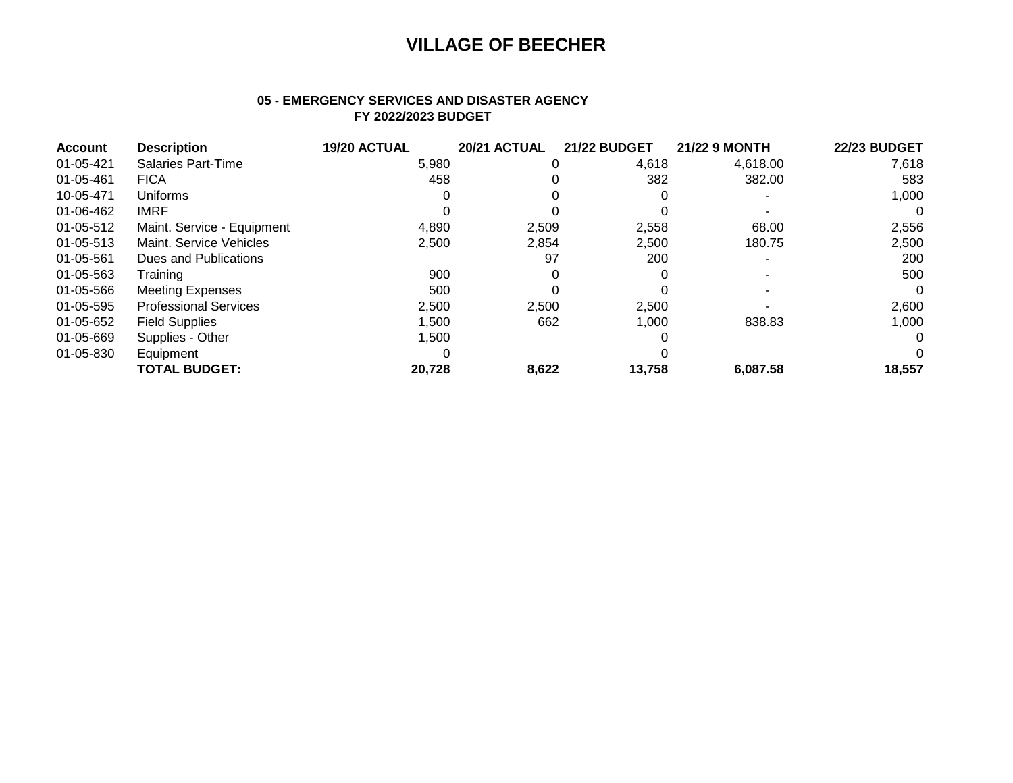### **05 - EMERGENCY SERVICES AND DISASTER AGENCY FY 2022/2023 BUDGET**

| <b>Account</b> | <b>Description</b>           | 19/20 ACTUAL | 20/21 ACTUAL | <b>21/22 BUDGET</b> | <b>21/22 9 MONTH</b> | <b>22/23 BUDGET</b> |
|----------------|------------------------------|--------------|--------------|---------------------|----------------------|---------------------|
| 01-05-421      | <b>Salaries Part-Time</b>    | 5,980        |              | 4,618               | 4,618.00             | 7,618               |
| 01-05-461      | <b>FICA</b>                  | 458          |              | 382                 | 382.00               | 583                 |
| 10-05-471      | Uniforms                     |              |              |                     |                      | 1,000               |
| 01-06-462      | <b>IMRF</b>                  |              |              |                     |                      | $\Omega$            |
| 01-05-512      | Maint. Service - Equipment   | 4,890        | 2,509        | 2,558               | 68.00                | 2,556               |
| 01-05-513      | Maint. Service Vehicles      | 2,500        | 2,854        | 2,500               | 180.75               | 2,500               |
| 01-05-561      | Dues and Publications        |              | 97           | 200                 |                      | 200                 |
| 01-05-563      | Training                     | 900          |              |                     |                      | 500                 |
| 01-05-566      | <b>Meeting Expenses</b>      | 500          |              |                     |                      | $\Omega$            |
| 01-05-595      | <b>Professional Services</b> | 2,500        | 2,500        | 2,500               |                      | 2,600               |
| 01-05-652      | <b>Field Supplies</b>        | 1,500        | 662          | 1,000               | 838.83               | 1,000               |
| 01-05-669      | Supplies - Other             | 1,500        |              |                     |                      | $\Omega$            |
| 01-05-830      | Equipment                    |              |              |                     |                      | $\Omega$            |
|                | <b>TOTAL BUDGET:</b>         | 20,728       | 8,622        | 13,758              | 6,087.58             | 18,557              |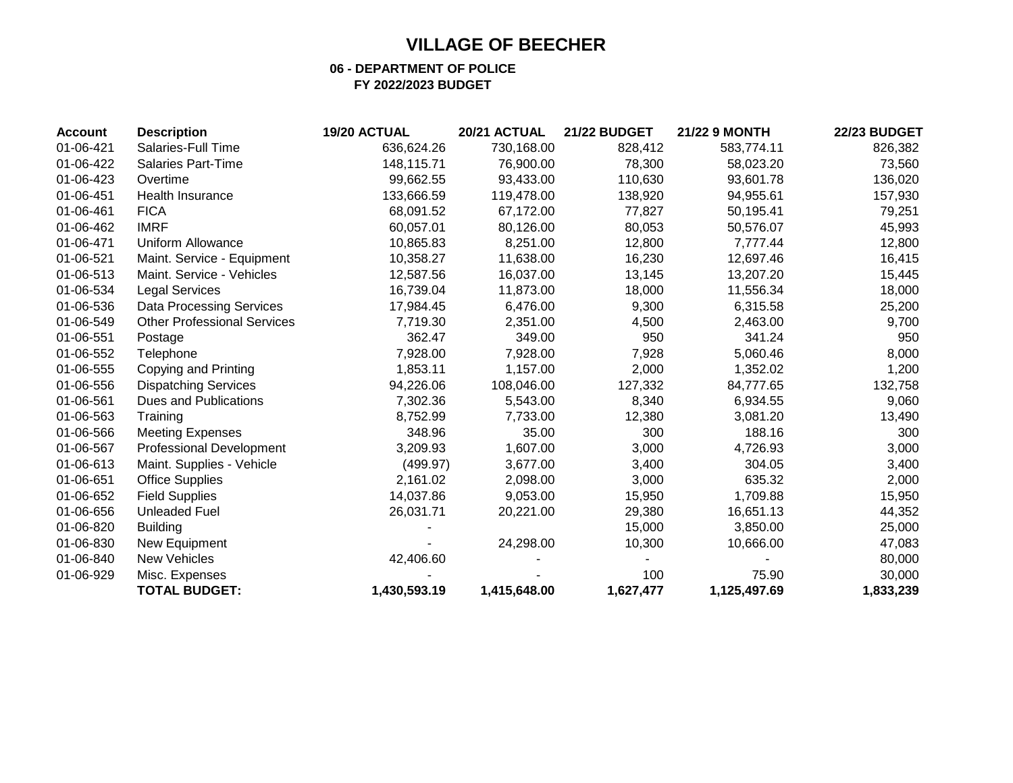### **06 - DEPARTMENT OF POLICE FY 2022/2023 BUDGET**

| <b>Account</b> | <b>Description</b>                 | 19/20 ACTUAL | 20/21 ACTUAL | <b>21/22 BUDGET</b> | <b>21/22 9 MONTH</b> | <b>22/23 BUDGET</b> |
|----------------|------------------------------------|--------------|--------------|---------------------|----------------------|---------------------|
| 01-06-421      | Salaries-Full Time                 | 636,624.26   | 730,168.00   | 828,412             | 583,774.11           | 826,382             |
| 01-06-422      | Salaries Part-Time                 | 148,115.71   | 76,900.00    | 78,300              | 58,023.20            | 73,560              |
| 01-06-423      | Overtime                           | 99,662.55    | 93,433.00    | 110,630             | 93,601.78            | 136,020             |
| 01-06-451      | Health Insurance                   | 133,666.59   | 119,478.00   | 138,920             | 94,955.61            | 157,930             |
| 01-06-461      | <b>FICA</b>                        | 68,091.52    | 67,172.00    | 77,827              | 50,195.41            | 79,251              |
| 01-06-462      | <b>IMRF</b>                        | 60,057.01    | 80,126.00    | 80,053              | 50,576.07            | 45,993              |
| 01-06-471      | <b>Uniform Allowance</b>           | 10,865.83    | 8,251.00     | 12,800              | 7,777.44             | 12,800              |
| 01-06-521      | Maint. Service - Equipment         | 10,358.27    | 11,638.00    | 16,230              | 12,697.46            | 16,415              |
| 01-06-513      | Maint. Service - Vehicles          | 12,587.56    | 16,037.00    | 13,145              | 13,207.20            | 15,445              |
| 01-06-534      | <b>Legal Services</b>              | 16,739.04    | 11,873.00    | 18,000              | 11,556.34            | 18,000              |
| 01-06-536      | <b>Data Processing Services</b>    | 17,984.45    | 6,476.00     | 9,300               | 6,315.58             | 25,200              |
| 01-06-549      | <b>Other Professional Services</b> | 7,719.30     | 2,351.00     | 4,500               | 2,463.00             | 9,700               |
| 01-06-551      | Postage                            | 362.47       | 349.00       | 950                 | 341.24               | 950                 |
| 01-06-552      | Telephone                          | 7,928.00     | 7,928.00     | 7,928               | 5,060.46             | 8,000               |
| 01-06-555      | Copying and Printing               | 1,853.11     | 1,157.00     | 2,000               | 1,352.02             | 1,200               |
| 01-06-556      | <b>Dispatching Services</b>        | 94,226.06    | 108,046.00   | 127,332             | 84,777.65            | 132,758             |
| 01-06-561      | Dues and Publications              | 7,302.36     | 5,543.00     | 8,340               | 6,934.55             | 9,060               |
| 01-06-563      | Training                           | 8,752.99     | 7,733.00     | 12,380              | 3,081.20             | 13,490              |
| 01-06-566      | <b>Meeting Expenses</b>            | 348.96       | 35.00        | 300                 | 188.16               | 300                 |
| 01-06-567      | <b>Professional Development</b>    | 3,209.93     | 1,607.00     | 3,000               | 4,726.93             | 3,000               |
| 01-06-613      | Maint. Supplies - Vehicle          | (499.97)     | 3,677.00     | 3,400               | 304.05               | 3,400               |
| 01-06-651      | <b>Office Supplies</b>             | 2,161.02     | 2,098.00     | 3,000               | 635.32               | 2,000               |
| 01-06-652      | <b>Field Supplies</b>              | 14,037.86    | 9,053.00     | 15,950              | 1,709.88             | 15,950              |
| 01-06-656      | <b>Unleaded Fuel</b>               | 26,031.71    | 20,221.00    | 29,380              | 16,651.13            | 44,352              |
| 01-06-820      | <b>Building</b>                    |              |              | 15,000              | 3,850.00             | 25,000              |
| 01-06-830      | New Equipment                      |              | 24,298.00    | 10,300              | 10,666.00            | 47,083              |
| 01-06-840      | <b>New Vehicles</b>                | 42,406.60    |              |                     |                      | 80,000              |
| 01-06-929      | Misc. Expenses                     |              |              | 100                 | 75.90                | 30,000              |
|                | <b>TOTAL BUDGET:</b>               | 1,430,593.19 | 1,415,648.00 | 1,627,477           | 1,125,497.69         | 1,833,239           |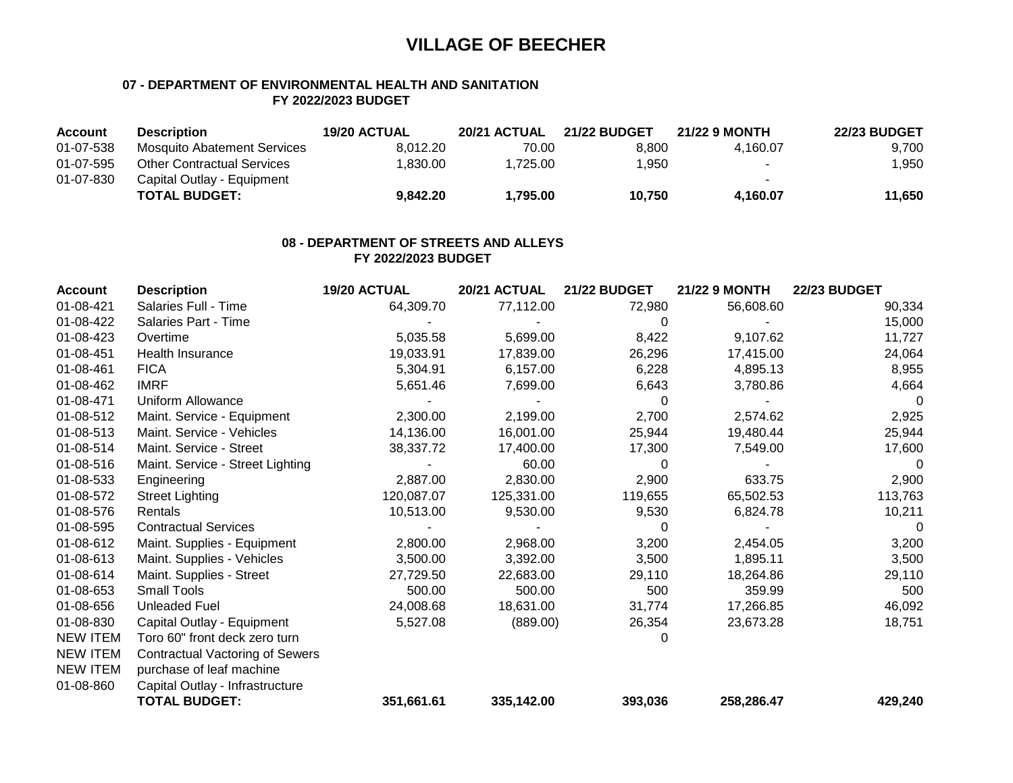### **07 - DEPARTMENT OF ENVIRONMENTAL HEALTH AND SANITATION FY 2022/2023 BUDGET**

| <b>Account</b> | <b>Description</b>                | 19/20 ACTUAL | 20/21 ACTUAL | <b>21/22 BUDGET</b> | 21/22 9 MONTH | <b>22/23 BUDGET</b> |
|----------------|-----------------------------------|--------------|--------------|---------------------|---------------|---------------------|
| 01-07-538      | Mosquito Abatement Services       | 8.012.20     | 70.00        | 8.800               | 4.160.07      | 9,700               |
| 01-07-595      | <b>Other Contractual Services</b> | .830.00      | 1.725.00     | 1.950               |               | 1,950               |
| 01-07-830      | Capital Outlay - Equipment        |              |              |                     | $\sim$        |                     |
|                | <b>TOTAL BUDGET:</b>              | 9.842.20     | 1.795.00     | 10.750              | 4.160.07      | 11,650              |

#### **08 - DEPARTMENT OF STREETS AND ALLEYS FY 2022/2023 BUDGET**

| <b>Account</b>  | <b>Description</b>                     | 19/20 ACTUAL | 20/21 ACTUAL | <b>21/22 BUDGET</b> | <b>21/22 9 MONTH</b> | <b>22/23 BUDGET</b> |
|-----------------|----------------------------------------|--------------|--------------|---------------------|----------------------|---------------------|
| 01-08-421       | Salaries Full - Time                   | 64,309.70    | 77,112.00    | 72,980              | 56,608.60            | 90,334              |
| 01-08-422       | Salaries Part - Time                   |              |              | 0                   |                      | 15,000              |
| 01-08-423       | Overtime                               | 5,035.58     | 5,699.00     | 8,422               | 9,107.62             | 11,727              |
| 01-08-451       | Health Insurance                       | 19,033.91    | 17,839.00    | 26,296              | 17,415.00            | 24,064              |
| 01-08-461       | <b>FICA</b>                            | 5,304.91     | 6,157.00     | 6,228               | 4,895.13             | 8,955               |
| 01-08-462       | <b>IMRF</b>                            | 5,651.46     | 7,699.00     | 6,643               | 3,780.86             | 4,664               |
| 01-08-471       | Uniform Allowance                      |              |              | 0                   |                      | 0                   |
| 01-08-512       | Maint. Service - Equipment             | 2,300.00     | 2,199.00     | 2,700               | 2,574.62             | 2,925               |
| 01-08-513       | Maint. Service - Vehicles              | 14,136.00    | 16,001.00    | 25,944              | 19,480.44            | 25,944              |
| 01-08-514       | Maint. Service - Street                | 38,337.72    | 17,400.00    | 17,300              | 7,549.00             | 17,600              |
| 01-08-516       | Maint. Service - Street Lighting       |              | 60.00        | 0                   |                      | 0                   |
| 01-08-533       | Engineering                            | 2,887.00     | 2,830.00     | 2,900               | 633.75               | 2,900               |
| 01-08-572       | <b>Street Lighting</b>                 | 120,087.07   | 125,331.00   | 119,655             | 65,502.53            | 113,763             |
| 01-08-576       | Rentals                                | 10,513.00    | 9,530.00     | 9,530               | 6,824.78             | 10,211              |
| 01-08-595       | <b>Contractual Services</b>            |              |              | 0                   |                      | 0                   |
| 01-08-612       | Maint. Supplies - Equipment            | 2,800.00     | 2,968.00     | 3,200               | 2,454.05             | 3,200               |
| 01-08-613       | Maint. Supplies - Vehicles             | 3,500.00     | 3,392.00     | 3,500               | 1,895.11             | 3,500               |
| 01-08-614       | Maint. Supplies - Street               | 27,729.50    | 22,683.00    | 29,110              | 18,264.86            | 29,110              |
| 01-08-653       | <b>Small Tools</b>                     | 500.00       | 500.00       | 500                 | 359.99               | 500                 |
| 01-08-656       | Unleaded Fuel                          | 24,008.68    | 18,631.00    | 31,774              | 17,266.85            | 46,092              |
| 01-08-830       | Capital Outlay - Equipment             | 5,527.08     | (889.00)     | 26,354              | 23,673.28            | 18,751              |
| <b>NEW ITEM</b> | Toro 60" front deck zero turn          |              |              | 0                   |                      |                     |
| <b>NEW ITEM</b> | <b>Contractual Vactoring of Sewers</b> |              |              |                     |                      |                     |
| <b>NEW ITEM</b> | purchase of leaf machine               |              |              |                     |                      |                     |
| 01-08-860       | Capital Outlay - Infrastructure        |              |              |                     |                      |                     |
|                 | <b>TOTAL BUDGET:</b>                   | 351,661.61   | 335,142.00   | 393,036             | 258,286.47           | 429,240             |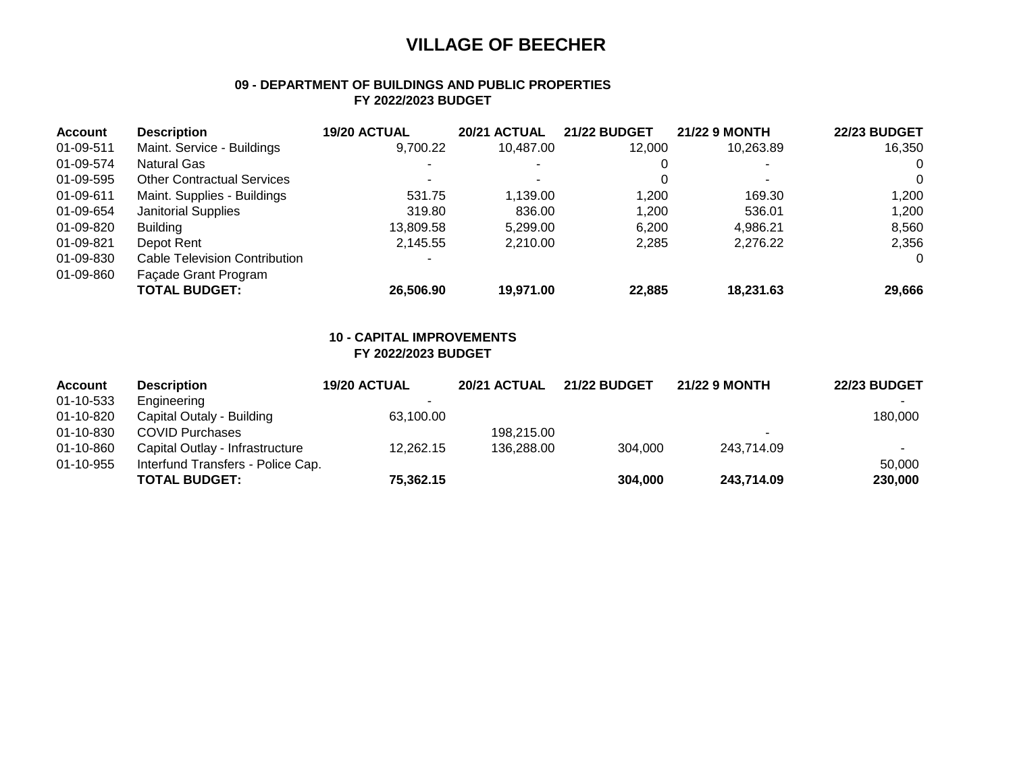### **09 - DEPARTMENT OF BUILDINGS AND PUBLIC PROPERTIES FY 2022/2023 BUDGET**

| <b>Account</b> | <b>Description</b>                   | <b>19/20 ACTUAL</b> | 20/21 ACTUAL | <b>21/22 BUDGET</b> | <b>21/22 9 MONTH</b> | <b>22/23 BUDGET</b> |
|----------------|--------------------------------------|---------------------|--------------|---------------------|----------------------|---------------------|
| 01-09-511      | Maint. Service - Buildings           | 9,700.22            | 10,487.00    | 12.000              | 10,263.89            | 16,350              |
| 01-09-574      | Natural Gas                          |                     |              |                     |                      | 0                   |
| 01-09-595      | <b>Other Contractual Services</b>    |                     |              | 0                   |                      | $\Omega$            |
| 01-09-611      | Maint. Supplies - Buildings          | 531.75              | 1,139.00     | 1,200               | 169.30               | 1,200               |
| 01-09-654      | <b>Janitorial Supplies</b>           | 319.80              | 836.00       | 1,200               | 536.01               | 1,200               |
| 01-09-820      | <b>Building</b>                      | 13.809.58           | 5.299.00     | 6.200               | 4,986.21             | 8,560               |
| 01-09-821      | Depot Rent                           | 2.145.55            | 2.210.00     | 2,285               | 2,276.22             | 2,356               |
| 01-09-830      | <b>Cable Television Contribution</b> |                     |              |                     |                      | $\Omega$            |
| 01-09-860      | Façade Grant Program                 |                     |              |                     |                      |                     |
|                | TOTAL BUDGET:                        | 26,506.90           | 19.971.00    | 22,885              | 18,231.63            | 29,666              |

#### **10 - CAPITAL IMPROVEMENTS FY 2022/2023 BUDGET**

| <b>Account</b> | <b>Description</b>                | <b>19/20 ACTUAL</b> | <b>20/21 ACTUAL</b> | <b>21/22 BUDGET</b> | <b>21/22 9 MONTH</b>     | <b>22/23 BUDGET</b> |
|----------------|-----------------------------------|---------------------|---------------------|---------------------|--------------------------|---------------------|
| 01-10-533      | Engineering                       |                     |                     |                     |                          |                     |
| 01-10-820      | Capital Outaly - Building         | 63,100.00           |                     |                     |                          | 180,000             |
| 01-10-830      | <b>COVID Purchases</b>            |                     | 198,215.00          |                     | $\overline{\phantom{a}}$ |                     |
| 01-10-860      | Capital Outlay - Infrastructure   | 12.262.15           | 136,288.00          | 304.000             | 243,714.09               |                     |
| 01-10-955      | Interfund Transfers - Police Cap. |                     |                     |                     |                          | 50,000              |
|                | <b>TOTAL BUDGET:</b>              | 75,362.15           |                     | 304.000             | 243,714.09               | 230,000             |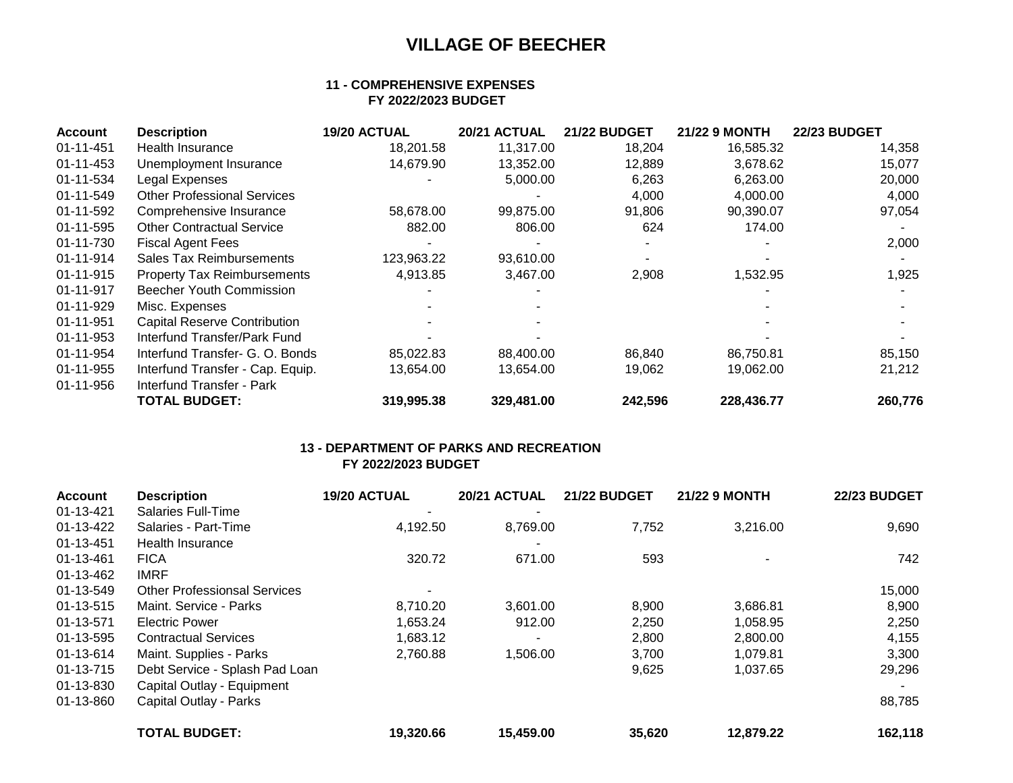### **11 - COMPREHENSIVE EXPENSES FY 2022/2023 BUDGET**

| <b>Account</b>  | <b>Description</b>                  | 19/20 ACTUAL | 20/21 ACTUAL | <b>21/22 BUDGET</b> | <b>21/22 9 MONTH</b> | <b>22/23 BUDGET</b> |
|-----------------|-------------------------------------|--------------|--------------|---------------------|----------------------|---------------------|
| 01-11-451       | Health Insurance                    | 18,201.58    | 11,317.00    | 18,204              | 16,585.32            | 14,358              |
| $01 - 11 - 453$ | Unemployment Insurance              | 14,679.90    | 13,352.00    | 12,889              | 3,678.62             | 15,077              |
| 01-11-534       | Legal Expenses                      |              | 5,000.00     | 6,263               | 6,263.00             | 20,000              |
| 01-11-549       | <b>Other Professional Services</b>  |              |              | 4,000               | 4,000.00             | 4,000               |
| 01-11-592       | Comprehensive Insurance             | 58,678.00    | 99,875.00    | 91,806              | 90,390.07            | 97,054              |
| 01-11-595       | <b>Other Contractual Service</b>    | 882.00       | 806.00       | 624                 | 174.00               |                     |
| 01-11-730       | <b>Fiscal Agent Fees</b>            |              |              |                     |                      | 2,000               |
| 01-11-914       | Sales Tax Reimbursements            | 123,963.22   | 93,610.00    |                     |                      |                     |
| 01-11-915       | <b>Property Tax Reimbursements</b>  | 4,913.85     | 3,467.00     | 2,908               | 1,532.95             | 1,925               |
| 01-11-917       | Beecher Youth Commission            |              |              |                     |                      |                     |
| 01-11-929       | Misc. Expenses                      |              |              |                     |                      |                     |
| 01-11-951       | <b>Capital Reserve Contribution</b> |              |              |                     |                      |                     |
| 01-11-953       | Interfund Transfer/Park Fund        |              |              |                     |                      |                     |
| 01-11-954       | Interfund Transfer- G. O. Bonds     | 85,022.83    | 88,400.00    | 86,840              | 86,750.81            | 85,150              |
| 01-11-955       | Interfund Transfer - Cap. Equip.    | 13,654.00    | 13,654.00    | 19,062              | 19,062.00            | 21,212              |
| 01-11-956       | Interfund Transfer - Park           |              |              |                     |                      |                     |
|                 | <b>TOTAL BUDGET:</b>                | 319,995.38   | 329,481.00   | 242,596             | 228,436.77           | 260,776             |

### **13 - DEPARTMENT OF PARKS AND RECREATION FY 2022/2023 BUDGET**

| <b>Account</b> | <b>Description</b>                  | 19/20 ACTUAL | 20/21 ACTUAL | <b>21/22 BUDGET</b> | <b>21/22 9 MONTH</b> | <b>22/23 BUDGET</b> |
|----------------|-------------------------------------|--------------|--------------|---------------------|----------------------|---------------------|
| 01-13-421      | <b>Salaries Full-Time</b>           | ٠            |              |                     |                      |                     |
| 01-13-422      | Salaries - Part-Time                | 4,192.50     | 8,769.00     | 7,752               | 3,216.00             | 9,690               |
| 01-13-451      | Health Insurance                    |              |              |                     |                      |                     |
| 01-13-461      | <b>FICA</b>                         | 320.72       | 671.00       | 593                 |                      | 742                 |
| 01-13-462      | <b>IMRF</b>                         |              |              |                     |                      |                     |
| 01-13-549      | <b>Other Professionsal Services</b> |              |              |                     |                      | 15,000              |
| 01-13-515      | Maint. Service - Parks              | 8,710.20     | 3,601.00     | 8,900               | 3,686.81             | 8,900               |
| 01-13-571      | <b>Electric Power</b>               | 1,653.24     | 912.00       | 2,250               | 1,058.95             | 2,250               |
| 01-13-595      | <b>Contractual Services</b>         | 1.683.12     |              | 2,800               | 2,800.00             | 4,155               |
| 01-13-614      | Maint. Supplies - Parks             | 2,760.88     | 1,506.00     | 3,700               | 1,079.81             | 3,300               |
| 01-13-715      | Debt Service - Splash Pad Loan      |              |              | 9,625               | 1,037.65             | 29,296              |
| 01-13-830      | Capital Outlay - Equipment          |              |              |                     |                      |                     |
| 01-13-860      | Capital Outlay - Parks              |              |              |                     |                      | 88,785              |
|                | <b>TOTAL BUDGET:</b>                | 19,320.66    | 15,459.00    | 35,620              | 12,879.22            | 162,118             |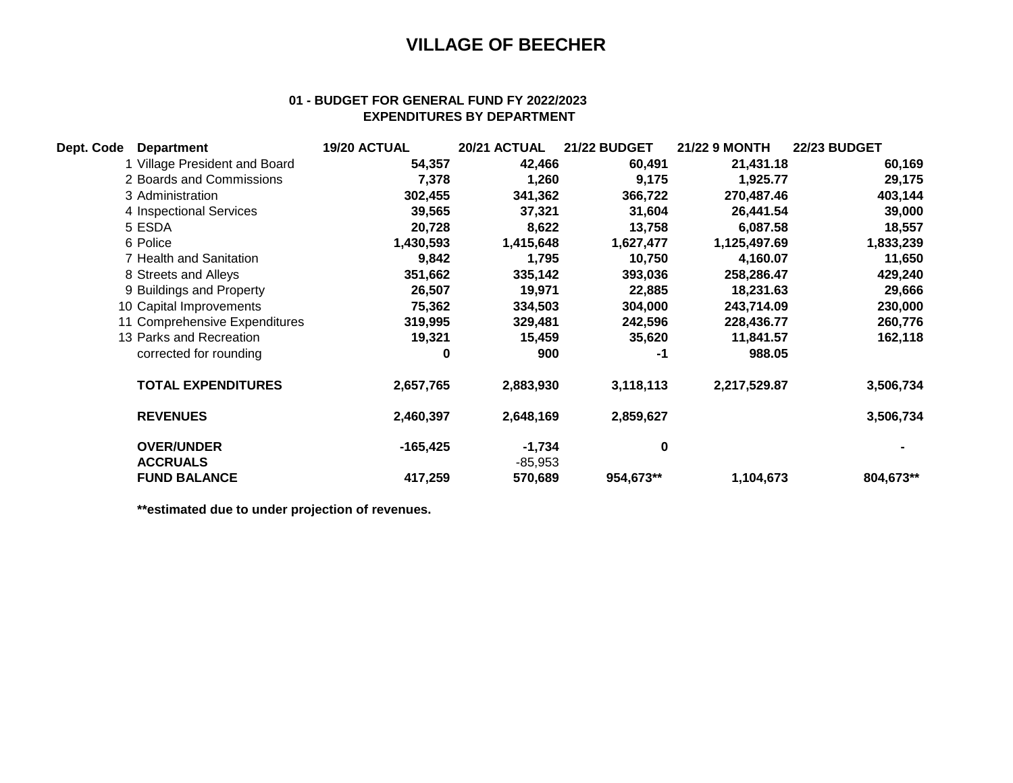### **01 - BUDGET FOR GENERAL FUND FY 2022/2023 EXPENDITURES BY DEPARTMENT**

| Dept. Code | <b>Department</b>             | 19/20 ACTUAL | 20/21 ACTUAL | <b>21/22 BUDGET</b> | 21/22 9 MONTH | <b>22/23 BUDGET</b> |
|------------|-------------------------------|--------------|--------------|---------------------|---------------|---------------------|
|            | 1 Village President and Board | 54,357       | 42,466       | 60,491              | 21,431.18     | 60,169              |
|            | 2 Boards and Commissions      | 7,378        | 1,260        | 9,175               | 1,925.77      | 29,175              |
|            | 3 Administration              | 302,455      | 341,362      | 366,722             | 270,487.46    | 403,144             |
|            | 4 Inspectional Services       | 39,565       | 37,321       | 31,604              | 26,441.54     | 39,000              |
|            | 5 ESDA                        | 20,728       | 8,622        | 13,758              | 6,087.58      | 18,557              |
|            | 6 Police                      | 1,430,593    | 1,415,648    | 1,627,477           | 1,125,497.69  | 1,833,239           |
|            | 7 Health and Sanitation       | 9,842        | 1,795        | 10,750              | 4,160.07      | 11,650              |
|            | 8 Streets and Alleys          | 351,662      | 335,142      | 393,036             | 258,286.47    | 429,240             |
|            | 9 Buildings and Property      | 26,507       | 19,971       | 22,885              | 18,231.63     | 29,666              |
|            | 10 Capital Improvements       | 75,362       | 334,503      | 304,000             | 243,714.09    | 230,000             |
|            | 11 Comprehensive Expenditures | 319,995      | 329,481      | 242,596             | 228,436.77    | 260,776             |
|            | 13 Parks and Recreation       | 19,321       | 15,459       | 35,620              | 11,841.57     | 162,118             |
|            | corrected for rounding        | 0            | 900          | -1                  | 988.05        |                     |
|            | <b>TOTAL EXPENDITURES</b>     | 2,657,765    | 2,883,930    | 3,118,113           | 2,217,529.87  | 3,506,734           |
|            | <b>REVENUES</b>               | 2,460,397    | 2,648,169    | 2,859,627           |               | 3,506,734           |
|            | <b>OVER/UNDER</b>             | $-165,425$   | $-1,734$     | $\bf{0}$            |               |                     |
|            | <b>ACCRUALS</b>               |              | $-85,953$    |                     |               |                     |
|            | <b>FUND BALANCE</b>           | 417,259      | 570,689      | 954,673**           | 1,104,673     | 804,673**           |

**\*\*estimated due to under projection of revenues.**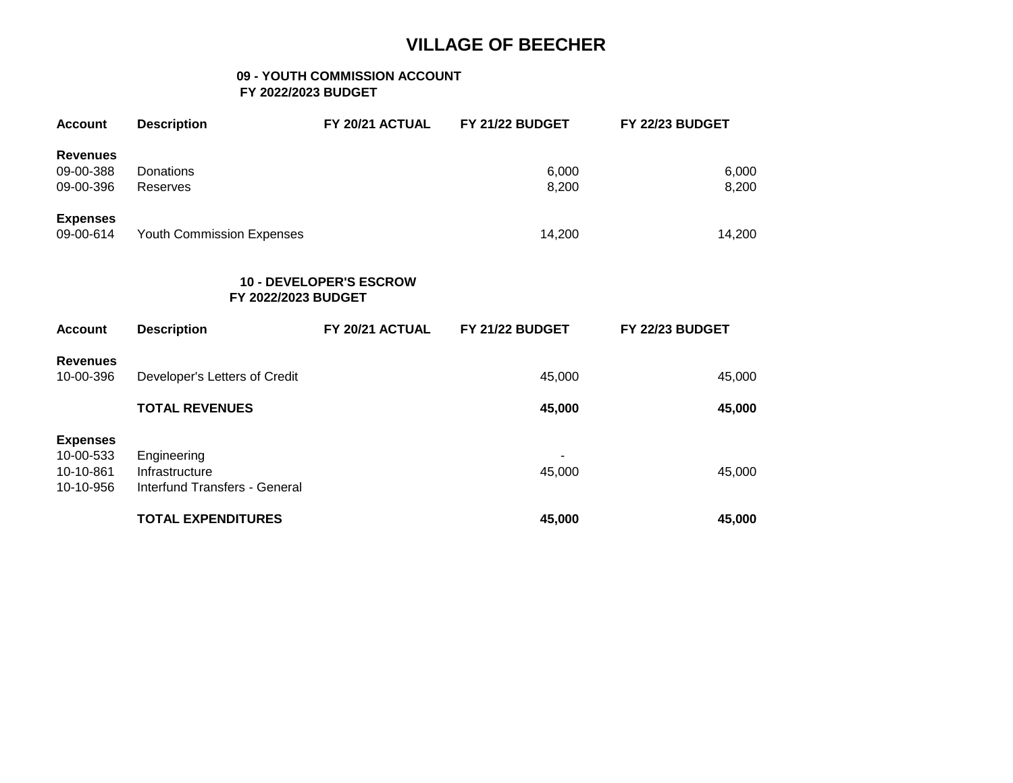### **09 - YOUTH COMMISSION ACCOUNT FY 2022/2023 BUDGET**

| <b>Account</b>                                         | <b>Description</b>                                             | FY 20/21 ACTUAL | FY 21/22 BUDGET | FY 22/23 BUDGET        |  |  |  |
|--------------------------------------------------------|----------------------------------------------------------------|-----------------|-----------------|------------------------|--|--|--|
| <b>Revenues</b><br>09-00-388<br>09-00-396              | Donations<br><b>Reserves</b>                                   |                 | 6,000<br>8,200  | 6,000<br>8,200         |  |  |  |
| <b>Expenses</b><br>09-00-614                           | Youth Commission Expenses                                      |                 | 14,200          | 14,200                 |  |  |  |
|                                                        | <b>10 - DEVELOPER'S ESCROW</b><br>FY 2022/2023 BUDGET          |                 |                 |                        |  |  |  |
|                                                        |                                                                |                 |                 |                        |  |  |  |
| <b>Account</b>                                         | <b>Description</b>                                             | FY 20/21 ACTUAL | FY 21/22 BUDGET | <b>FY 22/23 BUDGET</b> |  |  |  |
| <b>Revenues</b><br>10-00-396                           | Developer's Letters of Credit                                  |                 | 45,000          | 45,000                 |  |  |  |
|                                                        | <b>TOTAL REVENUES</b>                                          |                 | 45,000          | 45,000                 |  |  |  |
| <b>Expenses</b><br>10-00-533<br>10-10-861<br>10-10-956 | Engineering<br>Infrastructure<br>Interfund Transfers - General |                 | 45,000          | 45,000                 |  |  |  |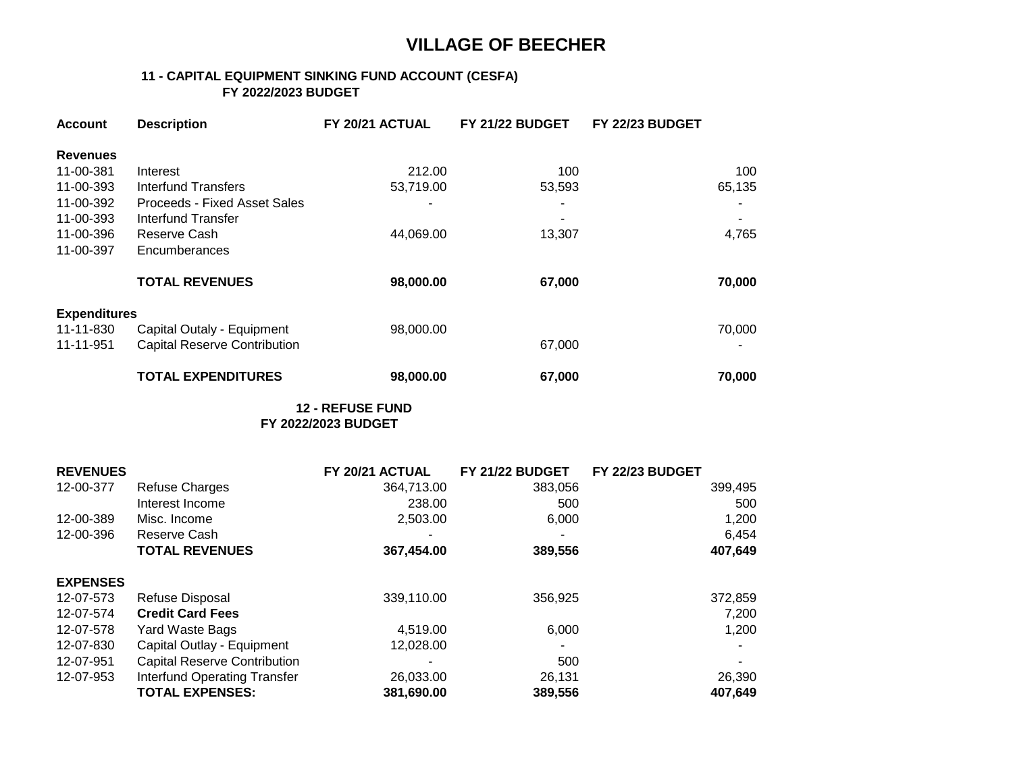### **11 - CAPITAL EQUIPMENT SINKING FUND ACCOUNT (CESFA) FY 2022/2023 BUDGET**

| <b>Account</b>      | <b>Description</b>                  | FY 20/21 ACTUAL | FY 21/22 BUDGET | FY 22/23 BUDGET |
|---------------------|-------------------------------------|-----------------|-----------------|-----------------|
| <b>Revenues</b>     |                                     |                 |                 |                 |
| 11-00-381           | Interest                            | 212.00          | 100             | 100             |
| 11-00-393           | Interfund Transfers                 | 53,719.00       | 53,593          | 65,135          |
| 11-00-392           | Proceeds - Fixed Asset Sales        |                 |                 |                 |
| 11-00-393           | Interfund Transfer                  |                 |                 |                 |
| 11-00-396           | Reserve Cash                        | 44,069.00       | 13,307          | 4,765           |
| 11-00-397           | Encumberances                       |                 |                 |                 |
|                     | <b>TOTAL REVENUES</b>               | 98,000.00       | 67,000          | 70,000          |
| <b>Expenditures</b> |                                     |                 |                 |                 |
| 11-11-830           | Capital Outaly - Equipment          | 98,000.00       |                 | 70,000          |
| 11-11-951           | <b>Capital Reserve Contribution</b> |                 | 67,000          |                 |
|                     | <b>TOTAL EXPENDITURES</b>           | 98,000.00       | 67,000          | 70,000          |

 **12 - REFUSE FUND FY 2022/2023 BUDGET**

| <b>REVENUES</b> |                                     | FY 20/21 ACTUAL | FY 21/22 BUDGET | <b>FY 22/23 BUDGET</b> |
|-----------------|-------------------------------------|-----------------|-----------------|------------------------|
| 12-00-377       | <b>Refuse Charges</b>               | 364,713.00      | 383.056         | 399,495                |
|                 | Interest Income                     | 238.00          | 500             | 500                    |
| 12-00-389       | Misc. Income                        | 2,503.00        | 6,000           | 1,200                  |
| 12-00-396       | Reserve Cash                        |                 |                 | 6,454                  |
|                 | <b>TOTAL REVENUES</b>               | 367,454.00      | 389,556         | 407,649                |
| <b>EXPENSES</b> |                                     |                 |                 |                        |
| 12-07-573       | Refuse Disposal                     | 339,110.00      | 356,925         | 372,859                |
| 12-07-574       | <b>Credit Card Fees</b>             |                 |                 | 7,200                  |
| 12-07-578       | Yard Waste Bags                     | 4,519.00        | 6,000           | 1,200                  |
| 12-07-830       | Capital Outlay - Equipment          | 12,028.00       |                 |                        |
| 12-07-951       | <b>Capital Reserve Contribution</b> |                 | 500             |                        |
| 12-07-953       | <b>Interfund Operating Transfer</b> | 26,033.00       | 26,131          | 26,390                 |
|                 | <b>TOTAL EXPENSES:</b>              | 381,690.00      | 389,556         | 407,649                |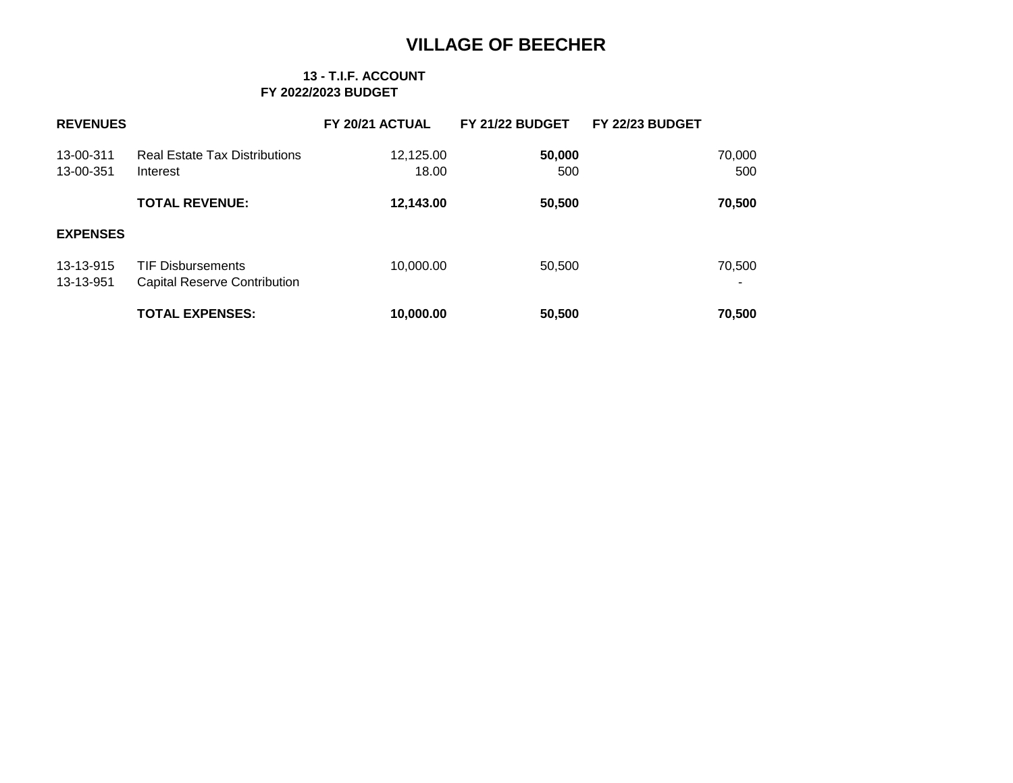### **13 - T.I.F. ACCOUNT FY 2022/2023 BUDGET**

| <b>REVENUES</b>        |                                                                 | FY 20/21 ACTUAL    | FY 21/22 BUDGET | FY 22/23 BUDGET |               |
|------------------------|-----------------------------------------------------------------|--------------------|-----------------|-----------------|---------------|
| 13-00-311<br>13-00-351 | <b>Real Estate Tax Distributions</b><br>Interest                | 12,125.00<br>18.00 | 50,000<br>500   |                 | 70,000<br>500 |
|                        | <b>TOTAL REVENUE:</b>                                           | 12,143.00          | 50,500          |                 | 70,500        |
| <b>EXPENSES</b>        |                                                                 |                    |                 |                 |               |
| 13-13-915<br>13-13-951 | <b>TIF Disbursements</b><br><b>Capital Reserve Contribution</b> | 10,000.00          | 50,500          |                 | 70,500        |
|                        | <b>TOTAL EXPENSES:</b>                                          | 10,000.00          | 50,500          |                 | 70,500        |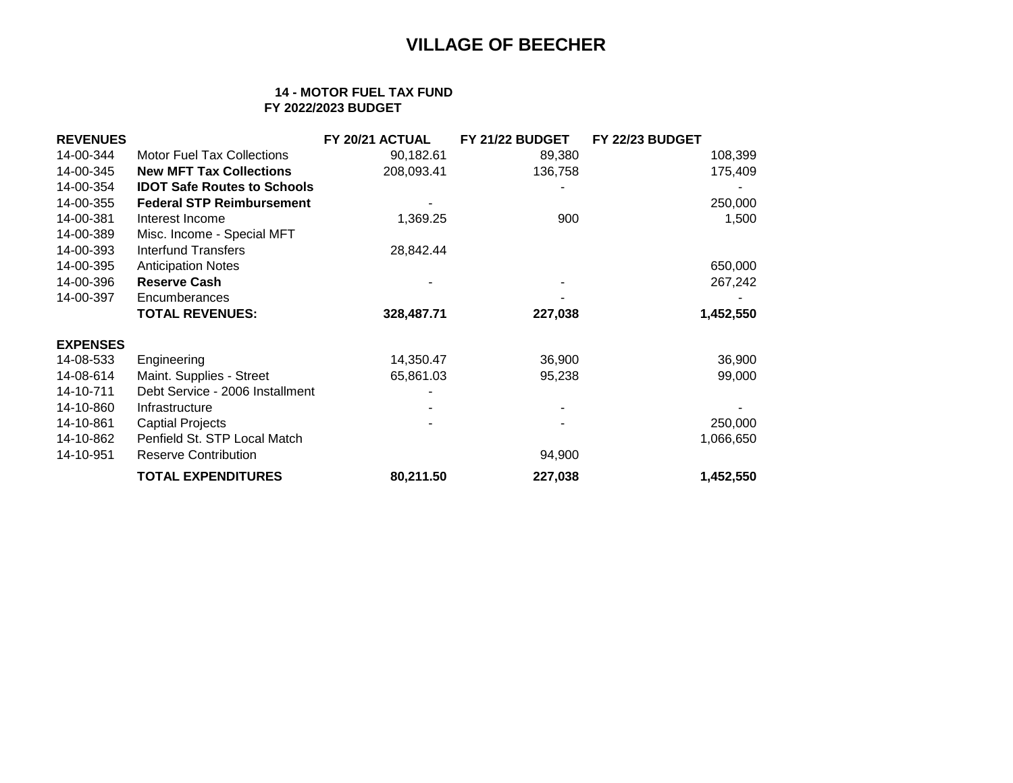### **14 - MOTOR FUEL TAX FUND FY 2022/2023 BUDGET**

| <b>REVENUES</b> |                                    | FY 20/21 ACTUAL | FY 21/22 BUDGET | FY 22/23 BUDGET |
|-----------------|------------------------------------|-----------------|-----------------|-----------------|
| 14-00-344       | <b>Motor Fuel Tax Collections</b>  | 90,182.61       | 89,380          | 108,399         |
| 14-00-345       | <b>New MFT Tax Collections</b>     | 208,093.41      | 136,758         | 175,409         |
| 14-00-354       | <b>IDOT Safe Routes to Schools</b> |                 |                 |                 |
| 14-00-355       | <b>Federal STP Reimbursement</b>   |                 |                 | 250,000         |
| 14-00-381       | Interest Income                    | 1,369.25        | 900             | 1,500           |
| 14-00-389       | Misc. Income - Special MFT         |                 |                 |                 |
| 14-00-393       | <b>Interfund Transfers</b>         | 28,842.44       |                 |                 |
| 14-00-395       | <b>Anticipation Notes</b>          |                 |                 | 650,000         |
| 14-00-396       | <b>Reserve Cash</b>                |                 |                 | 267,242         |
| 14-00-397       | Encumberances                      |                 |                 |                 |
|                 | <b>TOTAL REVENUES:</b>             | 328,487.71      | 227,038         | 1,452,550       |
| <b>EXPENSES</b> |                                    |                 |                 |                 |
| 14-08-533       | Engineering                        | 14,350.47       | 36,900          | 36,900          |
| 14-08-614       | Maint. Supplies - Street           | 65,861.03       | 95,238          | 99,000          |
| 14-10-711       | Debt Service - 2006 Installment    |                 |                 |                 |
| 14-10-860       | Infrastructure                     |                 |                 |                 |
| 14-10-861       | <b>Captial Projects</b>            |                 |                 | 250,000         |
| 14-10-862       | Penfield St. STP Local Match       |                 |                 | 1,066,650       |
| 14-10-951       | <b>Reserve Contribution</b>        |                 | 94,900          |                 |
|                 | <b>TOTAL EXPENDITURES</b>          | 80,211.50       | 227,038         | 1,452,550       |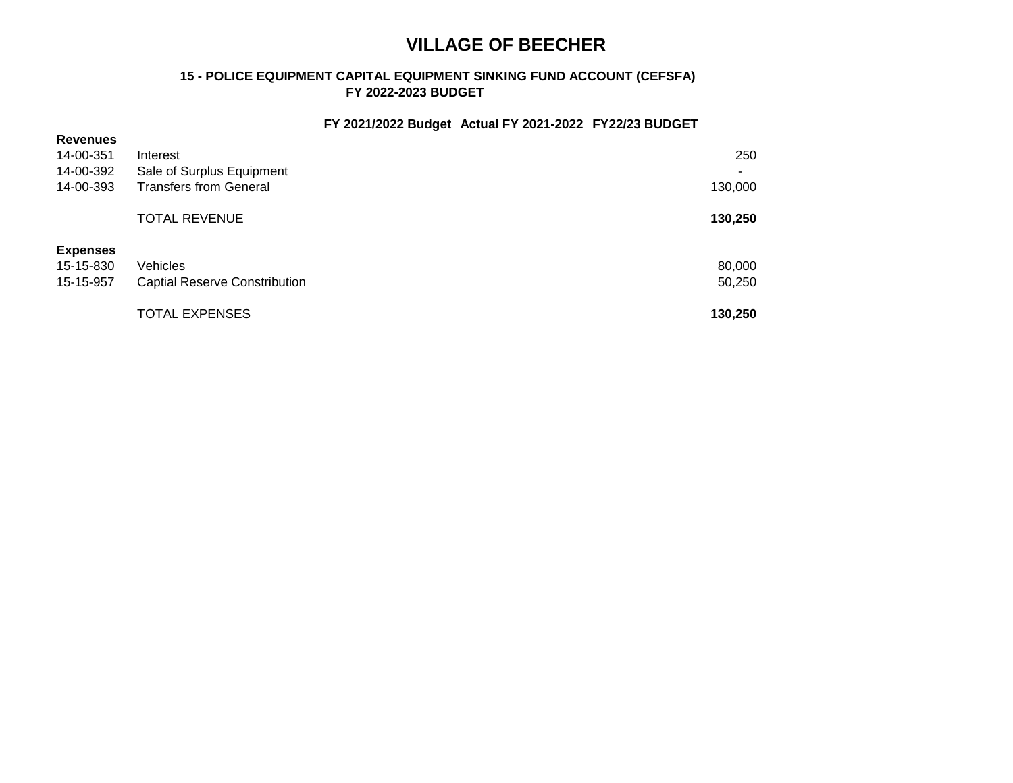### **15 - POLICE EQUIPMENT CAPITAL EQUIPMENT SINKING FUND ACCOUNT (CEFSFA) FY 2022-2023 BUDGET**

### **FY 2021/2022 Budget Actual FY 2021-2022 FY22/23 BUDGET**

| <b>Revenues</b><br>14-00-351<br>14-00-392<br>14-00-393 | Interest<br>Sale of Surplus Equipment<br><b>Transfers from General</b> | 250<br>٠<br>130,000 |
|--------------------------------------------------------|------------------------------------------------------------------------|---------------------|
|                                                        | <b>TOTAL REVENUE</b>                                                   | 130,250             |
| <b>Expenses</b><br>15-15-830<br>15-15-957              | Vehicles<br><b>Captial Reserve Constribution</b>                       | 80,000<br>50,250    |
|                                                        | <b>TOTAL EXPENSES</b>                                                  | 130,250             |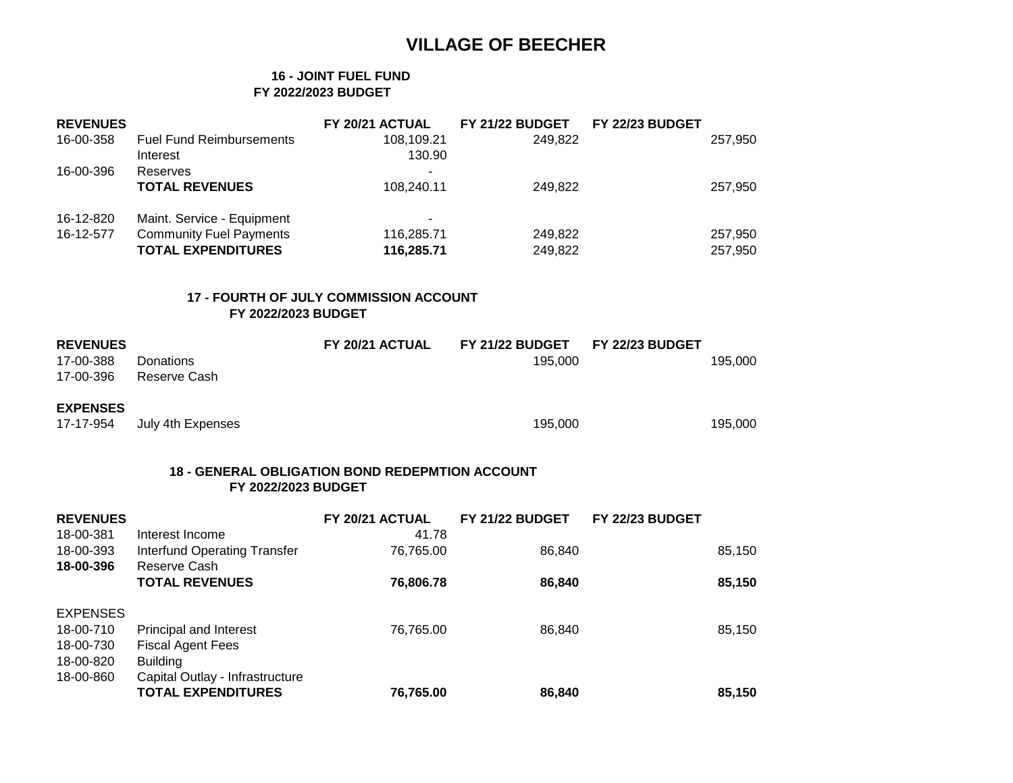### **16 - JOINT FUEL FUND FY 2022/2023 BUDGET**

| <b>REVENUES</b> |                                 | FY 20/21 ACTUAL | FY 21/22 BUDGET | FY 22/23 BUDGET |         |
|-----------------|---------------------------------|-----------------|-----------------|-----------------|---------|
| 16-00-358       | <b>Fuel Fund Reimbursements</b> | 108,109.21      | 249.822         |                 | 257,950 |
|                 | Interest                        | 130.90          |                 |                 |         |
| 16-00-396       | Reserves                        |                 |                 |                 |         |
|                 | <b>TOTAL REVENUES</b>           | 108,240.11      | 249.822         |                 | 257,950 |
| 16-12-820       | Maint. Service - Equipment      | ۰               |                 |                 |         |
| 16-12-577       | <b>Community Fuel Payments</b>  | 116,285.71      | 249,822         |                 | 257,950 |
|                 | <b>TOTAL EXPENDITURES</b>       | 116,285.71      | 249,822         |                 | 257,950 |

### **17 - FOURTH OF JULY COMMISSION ACCOUNT FY 2022/2023 BUDGET**

| <b>REVENUES</b> |                   | FY 20/21 ACTUAL | <b>FY 21/22 BUDGET</b> | <b>FY 22/23 BUDGET</b> |         |
|-----------------|-------------------|-----------------|------------------------|------------------------|---------|
| 17-00-388       | Donations         |                 | 195.000                |                        | 195.000 |
| 17-00-396       | Reserve Cash      |                 |                        |                        |         |
| <b>EXPENSES</b> |                   |                 |                        |                        |         |
| 17-17-954       | July 4th Expenses |                 | 195.000                |                        | 195.000 |

### **18 - GENERAL OBLIGATION BOND REDEPMTION ACCOUNT FY 2022/2023 BUDGET**

| <b>REVENUES</b>                                        |                                                                              | FY 20/21 ACTUAL | FY 21/22 BUDGET | FY 22/23 BUDGET |  |
|--------------------------------------------------------|------------------------------------------------------------------------------|-----------------|-----------------|-----------------|--|
| 18-00-381                                              | Interest Income                                                              | 41.78           |                 |                 |  |
| 18-00-393                                              | Interfund Operating Transfer                                                 | 76,765.00       | 86,840          | 85,150          |  |
| 18-00-396                                              | Reserve Cash                                                                 |                 |                 |                 |  |
|                                                        | <b>TOTAL REVENUES</b>                                                        | 76,806.78       | 86,840          | 85,150          |  |
| <b>EXPENSES</b><br>18-00-710<br>18-00-730<br>18-00-820 | <b>Principal and Interest</b><br><b>Fiscal Agent Fees</b><br><b>Building</b> | 76,765.00       | 86,840          | 85,150          |  |
| 18-00-860                                              | Capital Outlay - Infrastructure<br><b>TOTAL EXPENDITURES</b>                 | 76,765.00       | 86,840          | 85.150          |  |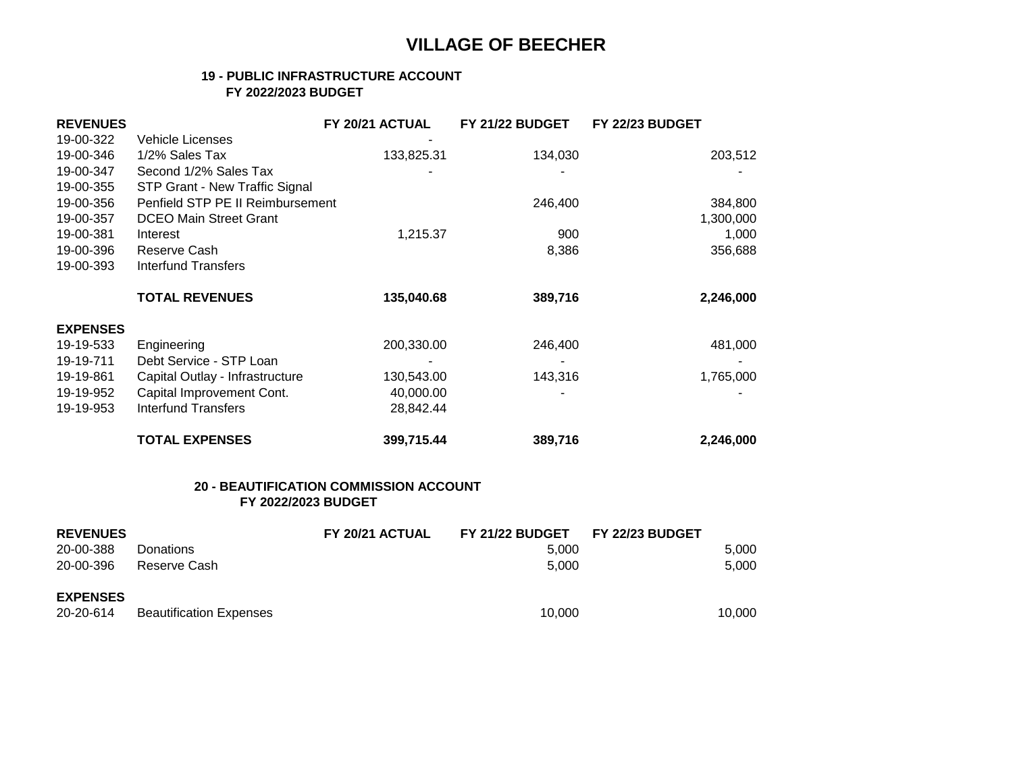### **19 - PUBLIC INFRASTRUCTURE ACCOUNT FY 2022/2023 BUDGET**

| <b>REVENUES</b> |                                  | FY 20/21 ACTUAL | <b>FY 21/22 BUDGET</b> | FY 22/23 BUDGET |
|-----------------|----------------------------------|-----------------|------------------------|-----------------|
| 19-00-322       | <b>Vehicle Licenses</b>          |                 |                        |                 |
| 19-00-346       | 1/2% Sales Tax                   | 133,825.31      | 134,030                | 203,512         |
| 19-00-347       | Second 1/2% Sales Tax            |                 |                        |                 |
| 19-00-355       | STP Grant - New Traffic Signal   |                 |                        |                 |
| 19-00-356       | Penfield STP PE II Reimbursement |                 | 246,400                | 384,800         |
| 19-00-357       | <b>DCEO Main Street Grant</b>    |                 |                        | 1,300,000       |
| 19-00-381       | Interest                         | 1,215.37        | 900                    | 1,000           |
| 19-00-396       | Reserve Cash                     |                 | 8,386                  | 356,688         |
| 19-00-393       | <b>Interfund Transfers</b>       |                 |                        |                 |
|                 |                                  |                 |                        |                 |
|                 | <b>TOTAL REVENUES</b>            | 135,040.68      | 389,716                | 2,246,000       |
| <b>EXPENSES</b> |                                  |                 |                        |                 |
| 19-19-533       | Engineering                      | 200,330.00      | 246,400                | 481,000         |
| 19-19-711       | Debt Service - STP Loan          |                 |                        |                 |
| 19-19-861       | Capital Outlay - Infrastructure  | 130,543.00      | 143,316                | 1,765,000       |
| 19-19-952       | Capital Improvement Cont.        | 40,000.00       |                        |                 |
| 19-19-953       | Interfund Transfers              | 28,842.44       |                        |                 |
|                 | <b>TOTAL EXPENSES</b>            | 399,715.44      | 389,716                | 2,246,000       |

### **20 - BEAUTIFICATION COMMISSION ACCOUNT FY 2022/2023 BUDGET**

| <b>REVENUES</b> |                                | FY 20/21 ACTUAL | <b>FY 21/22 BUDGET</b> | <b>FY 22/23 BUDGET</b> |        |
|-----------------|--------------------------------|-----------------|------------------------|------------------------|--------|
| 20-00-388       | <b>Donations</b>               |                 | 5.000                  |                        | 5.000  |
| 20-00-396       | Reserve Cash                   |                 | 5.000                  |                        | 5.000  |
| <b>EXPENSES</b> |                                |                 |                        |                        |        |
| 20-20-614       | <b>Beautification Expenses</b> |                 | 10.000                 |                        | 10.000 |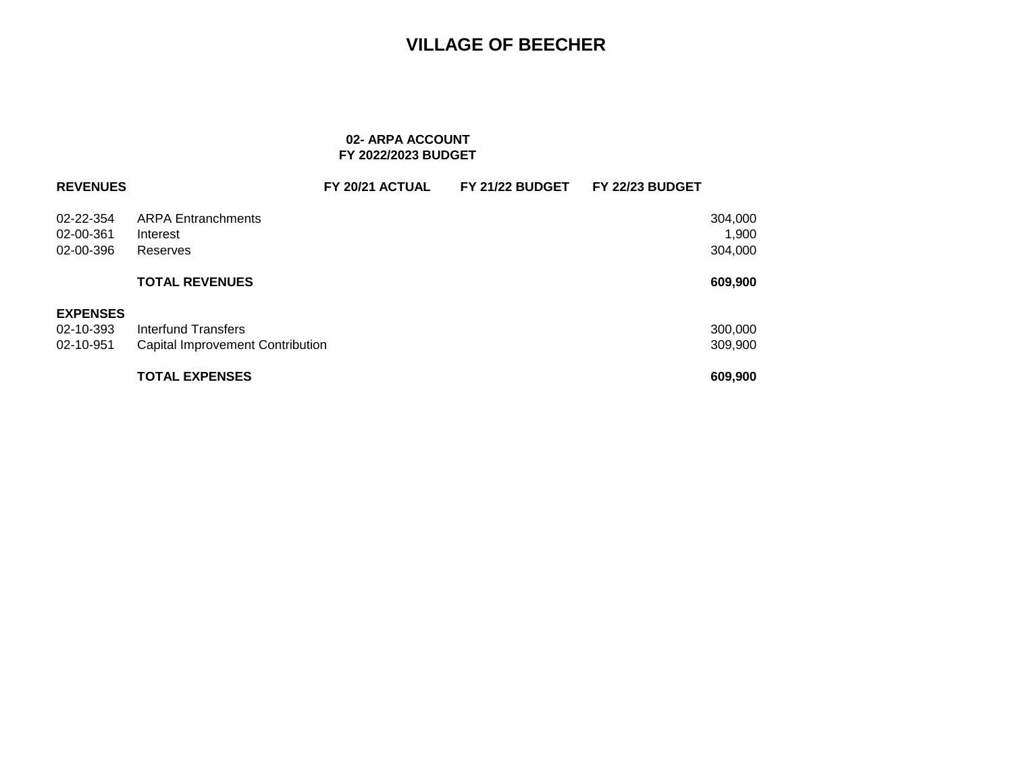### **02- ARPA ACCOUNT FY 2022/2023 BUDGET**

| <b>REVENUES</b>                           |                                                                | FY 20/21 ACTUAL | FY 21/22 BUDGET | FY 22/23 BUDGET |                             |
|-------------------------------------------|----------------------------------------------------------------|-----------------|-----------------|-----------------|-----------------------------|
| 02-22-354<br>02-00-361<br>02-00-396       | <b>ARPA Entranchments</b><br>Interest<br>Reserves              |                 |                 |                 | 304,000<br>1,900<br>304,000 |
|                                           | <b>TOTAL REVENUES</b>                                          |                 |                 |                 | 609,900                     |
| <b>EXPENSES</b><br>02-10-393<br>02-10-951 | Interfund Transfers<br><b>Capital Improvement Contribution</b> |                 |                 |                 | 300,000<br>309,900          |
|                                           | <b>TOTAL EXPENSES</b>                                          |                 |                 |                 | 609,900                     |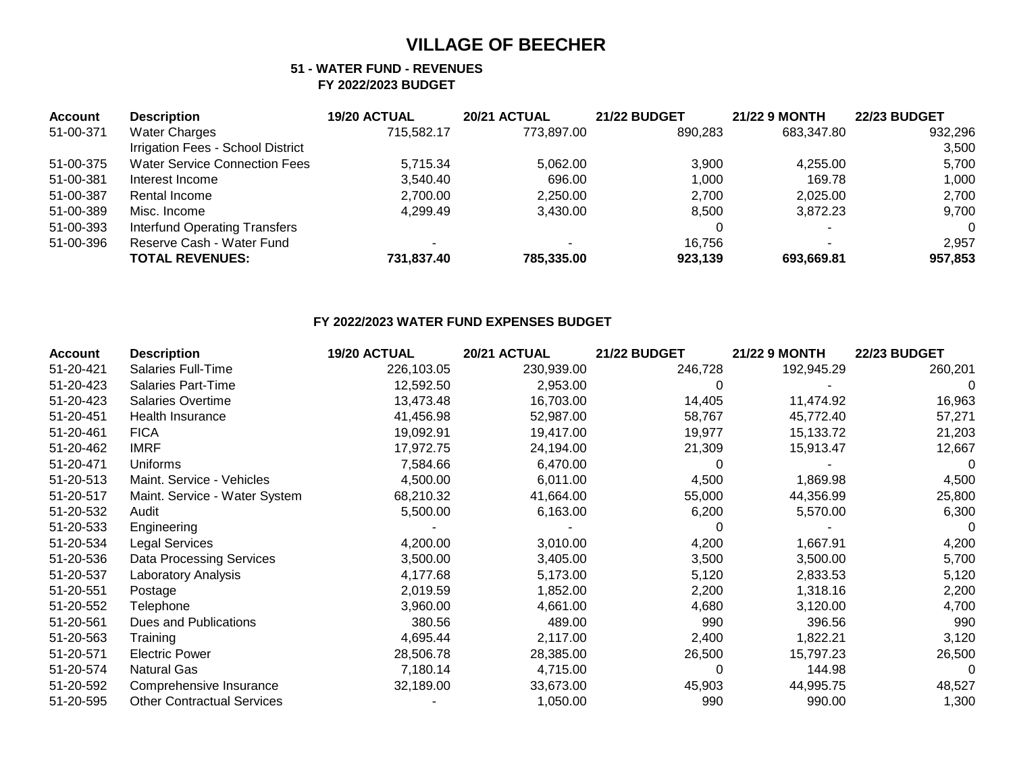#### **51 - WATER FUND - REVENUES FY 2022/2023 BUDGET**

| <b>Account</b> | <b>Description</b>                   | 19/20 ACTUAL | 20/21 ACTUAL | <b>21/22 BUDGET</b> | <b>21/22 9 MONTH</b> | <b>22/23 BUDGET</b> |
|----------------|--------------------------------------|--------------|--------------|---------------------|----------------------|---------------------|
| 51-00-371      | <b>Water Charges</b>                 | 715.582.17   | 773.897.00   | 890.283             | 683.347.80           | 932,296             |
|                | Irrigation Fees - School District    |              |              |                     |                      | 3,500               |
| 51-00-375      | <b>Water Service Connection Fees</b> | 5.715.34     | 5.062.00     | 3.900               | 4.255.00             | 5.700               |
| 51-00-381      | Interest Income                      | 3,540.40     | 696.00       | 1.000               | 169.78               | 1,000               |
| 51-00-387      | Rental Income                        | 2,700.00     | 2.250.00     | 2,700               | 2,025.00             | 2,700               |
| 51-00-389      | Misc. Income                         | 4.299.49     | 3.430.00     | 8.500               | 3.872.23             | 9,700               |
| 51-00-393      | <b>Interfund Operating Transfers</b> |              |              | 0                   |                      | $\Omega$            |
| 51-00-396      | Reserve Cash - Water Fund            |              |              | 16.756              |                      | 2,957               |
|                | <b>TOTAL REVENUES:</b>               | 731,837.40   | 785.335.00   | 923,139             | 693.669.81           | 957,853             |

### **FY 2022/2023 WATER FUND EXPENSES BUDGET**

| <b>Account</b> | <b>Description</b>                | 19/20 ACTUAL | 20/21 ACTUAL | <b>21/22 BUDGET</b> | <b>21/22 9 MONTH</b> | <b>22/23 BUDGET</b> |
|----------------|-----------------------------------|--------------|--------------|---------------------|----------------------|---------------------|
| 51-20-421      | <b>Salaries Full-Time</b>         | 226,103.05   | 230,939.00   | 246,728             | 192,945.29           | 260,201             |
| 51-20-423      | <b>Salaries Part-Time</b>         | 12,592.50    | 2,953.00     | 0                   |                      | $\theta$            |
| 51-20-423      | Salaries Overtime                 | 13,473.48    | 16,703.00    | 14,405              | 11,474.92            | 16,963              |
| 51-20-451      | Health Insurance                  | 41,456.98    | 52,987.00    | 58,767              | 45,772.40            | 57,271              |
| 51-20-461      | <b>FICA</b>                       | 19,092.91    | 19,417.00    | 19,977              | 15,133.72            | 21,203              |
| 51-20-462      | <b>IMRF</b>                       | 17,972.75    | 24,194.00    | 21,309              | 15,913.47            | 12,667              |
| 51-20-471      | <b>Uniforms</b>                   | 7,584.66     | 6,470.00     | 0                   |                      |                     |
| 51-20-513      | Maint. Service - Vehicles         | 4,500.00     | 6,011.00     | 4,500               | 1,869.98             | 4,500               |
| 51-20-517      | Maint. Service - Water System     | 68,210.32    | 41,664.00    | 55,000              | 44,356.99            | 25,800              |
| 51-20-532      | Audit                             | 5,500.00     | 6,163.00     | 6,200               | 5,570.00             | 6,300               |
| 51-20-533      | Engineering                       |              |              | 0                   |                      | 0                   |
| 51-20-534      | Legal Services                    | 4,200.00     | 3,010.00     | 4,200               | 1,667.91             | 4,200               |
| 51-20-536      | <b>Data Processing Services</b>   | 3,500.00     | 3,405.00     | 3,500               | 3,500.00             | 5,700               |
| 51-20-537      | Laboratory Analysis               | 4,177.68     | 5,173.00     | 5,120               | 2,833.53             | 5,120               |
| 51-20-551      | Postage                           | 2,019.59     | 1,852.00     | 2,200               | 1,318.16             | 2,200               |
| 51-20-552      | Telephone                         | 3,960.00     | 4,661.00     | 4,680               | 3,120.00             | 4,700               |
| 51-20-561      | <b>Dues and Publications</b>      | 380.56       | 489.00       | 990                 | 396.56               | 990                 |
| 51-20-563      | Training                          | 4,695.44     | 2,117.00     | 2,400               | 1,822.21             | 3,120               |
| 51-20-571      | <b>Electric Power</b>             | 28,506.78    | 28,385.00    | 26,500              | 15,797.23            | 26,500              |
| 51-20-574      | <b>Natural Gas</b>                | 7,180.14     | 4,715.00     | 0                   | 144.98               | $\Omega$            |
| 51-20-592      | Comprehensive Insurance           | 32,189.00    | 33,673.00    | 45,903              | 44,995.75            | 48,527              |
| 51-20-595      | <b>Other Contractual Services</b> |              | 1,050.00     | 990                 | 990.00               | 1,300               |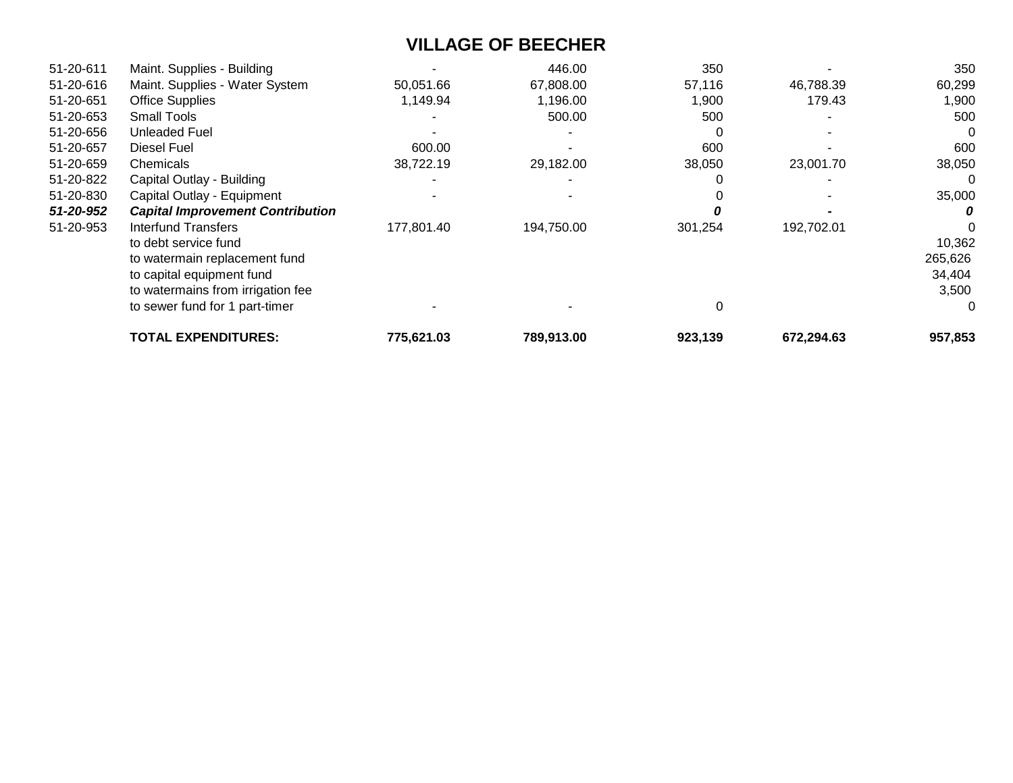| 51-20-611 | Maint. Supplies - Building              |            | 446.00     | 350     |            | 350     |
|-----------|-----------------------------------------|------------|------------|---------|------------|---------|
| 51-20-616 | Maint. Supplies - Water System          | 50,051.66  | 67,808.00  | 57,116  | 46,788.39  | 60,299  |
| 51-20-651 | <b>Office Supplies</b>                  | 1,149.94   | 1,196.00   | 1,900   | 179.43     | 1,900   |
| 51-20-653 | Small Tools                             |            | 500.00     | 500     |            | 500     |
| 51-20-656 | <b>Unleaded Fuel</b>                    |            |            |         |            | 0       |
| 51-20-657 | Diesel Fuel                             | 600.00     |            | 600     |            | 600     |
| 51-20-659 | Chemicals                               | 38,722.19  | 29,182.00  | 38,050  | 23,001.70  | 38,050  |
| 51-20-822 | Capital Outlay - Building               |            |            |         |            |         |
| 51-20-830 | Capital Outlay - Equipment              |            |            |         |            | 35,000  |
| 51-20-952 | <b>Capital Improvement Contribution</b> |            |            |         |            |         |
| 51-20-953 | Interfund Transfers                     | 177,801.40 | 194,750.00 | 301,254 | 192,702.01 |         |
|           | to debt service fund                    |            |            |         |            | 10,362  |
|           | to watermain replacement fund           |            |            |         |            | 265,626 |
|           | to capital equipment fund               |            |            |         |            | 34,404  |
|           | to watermains from irrigation fee       |            |            |         |            | 3,500   |
|           | to sewer fund for 1 part-timer          |            |            |         |            | 0       |
|           | <b>TOTAL EXPENDITURES:</b>              | 775,621.03 | 789,913.00 | 923,139 | 672,294.63 | 957,853 |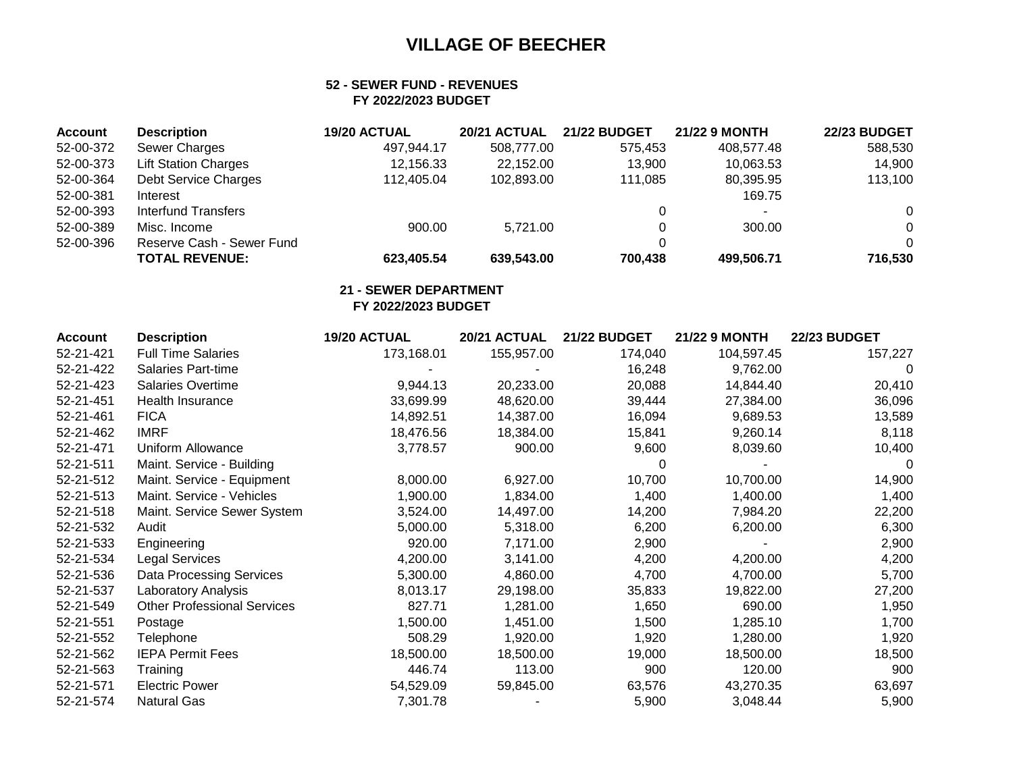### **52 - SEWER FUND - REVENUES FY 2022/2023 BUDGET**

| <b>Account</b> | <b>Description</b>          | 19/20 ACTUAL | 20/21 ACTUAL | <b>21/22 BUDGET</b> | <b>21/22 9 MONTH</b>     | <b>22/23 BUDGET</b> |
|----------------|-----------------------------|--------------|--------------|---------------------|--------------------------|---------------------|
| 52-00-372      | Sewer Charges               | 497.944.17   | 508,777.00   | 575.453             | 408.577.48               | 588,530             |
| 52-00-373      | <b>Lift Station Charges</b> | 12.156.33    | 22.152.00    | 13.900              | 10,063.53                | 14,900              |
| 52-00-364      | Debt Service Charges        | 112,405.04   | 102,893.00   | 111.085             | 80,395.95                | 113,100             |
| 52-00-381      | Interest                    |              |              |                     | 169.75                   |                     |
| 52-00-393      | Interfund Transfers         |              |              |                     | $\overline{\phantom{a}}$ | $\Omega$            |
| 52-00-389      | Misc. Income                | 900.00       | 5.721.00     |                     | 300.00                   | $\Omega$            |
| 52-00-396      | Reserve Cash - Sewer Fund   |              |              |                     |                          | $\Omega$            |
|                | <b>TOTAL REVENUE:</b>       | 623,405.54   | 639,543.00   | 700.438             | 499,506.71               | 716,530             |

### **21 - SEWER DEPARTMENT**

### **FY 2022/2023 BUDGET**

| <b>Account</b> | <b>Description</b>                 | 19/20 ACTUAL | 20/21 ACTUAL | <b>21/22 BUDGET</b> | <b>21/22 9 MONTH</b> | <b>22/23 BUDGET</b> |
|----------------|------------------------------------|--------------|--------------|---------------------|----------------------|---------------------|
| 52-21-421      | <b>Full Time Salaries</b>          | 173,168.01   | 155,957.00   | 174,040             | 104,597.45           | 157,227             |
| 52-21-422      | <b>Salaries Part-time</b>          |              |              | 16,248              | 9,762.00             | 0                   |
| 52-21-423      | <b>Salaries Overtime</b>           | 9,944.13     | 20,233.00    | 20,088              | 14,844.40            | 20,410              |
| 52-21-451      | <b>Health Insurance</b>            | 33,699.99    | 48,620.00    | 39,444              | 27,384.00            | 36,096              |
| 52-21-461      | <b>FICA</b>                        | 14,892.51    | 14,387.00    | 16,094              | 9,689.53             | 13,589              |
| 52-21-462      | <b>IMRF</b>                        | 18,476.56    | 18,384.00    | 15,841              | 9,260.14             | 8,118               |
| 52-21-471      | <b>Uniform Allowance</b>           | 3,778.57     | 900.00       | 9,600               | 8,039.60             | 10,400              |
| 52-21-511      | Maint. Service - Building          |              |              |                     |                      | 0                   |
| 52-21-512      | Maint. Service - Equipment         | 8,000.00     | 6,927.00     | 10,700              | 10,700.00            | 14,900              |
| 52-21-513      | Maint. Service - Vehicles          | 1,900.00     | 1,834.00     | 1,400               | 1,400.00             | 1,400               |
| 52-21-518      | Maint. Service Sewer System        | 3,524.00     | 14,497.00    | 14,200              | 7,984.20             | 22,200              |
| 52-21-532      | Audit                              | 5,000.00     | 5,318.00     | 6,200               | 6,200.00             | 6,300               |
| 52-21-533      | Engineering                        | 920.00       | 7,171.00     | 2,900               |                      | 2,900               |
| 52-21-534      | <b>Legal Services</b>              | 4,200.00     | 3,141.00     | 4,200               | 4,200.00             | 4,200               |
| 52-21-536      | Data Processing Services           | 5,300.00     | 4,860.00     | 4,700               | 4,700.00             | 5,700               |
| 52-21-537      | <b>Laboratory Analysis</b>         | 8,013.17     | 29,198.00    | 35,833              | 19,822.00            | 27,200              |
| 52-21-549      | <b>Other Professional Services</b> | 827.71       | 1,281.00     | 1,650               | 690.00               | 1,950               |
| 52-21-551      | Postage                            | 1,500.00     | 1,451.00     | 1,500               | 1,285.10             | 1,700               |
| 52-21-552      | Telephone                          | 508.29       | 1,920.00     | 1,920               | 1,280.00             | 1,920               |
| 52-21-562      | <b>IEPA Permit Fees</b>            | 18,500.00    | 18,500.00    | 19,000              | 18,500.00            | 18,500              |
| 52-21-563      | Training                           | 446.74       | 113.00       | 900                 | 120.00               | 900                 |
| 52-21-571      | <b>Electric Power</b>              | 54,529.09    | 59,845.00    | 63,576              | 43,270.35            | 63,697              |
| 52-21-574      | Natural Gas                        | 7,301.78     |              | 5,900               | 3,048.44             | 5,900               |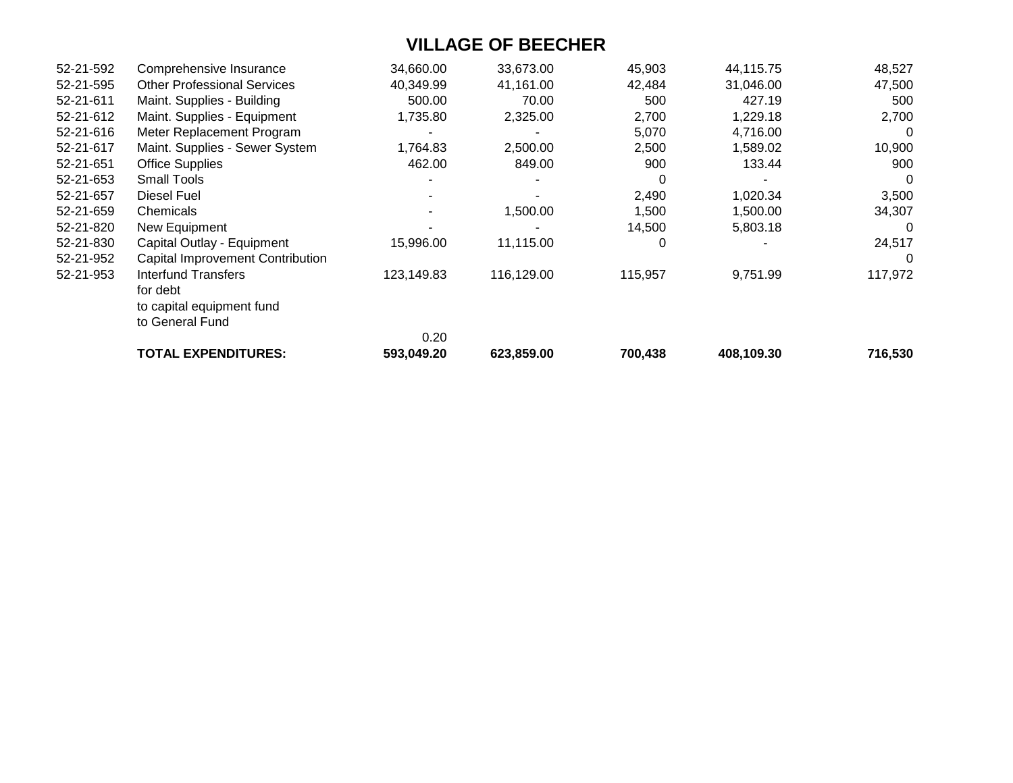| 52-21-592 | Comprehensive Insurance                 | 34,660.00  | 33,673.00  | 45,903  | 44,115.75  | 48,527  |
|-----------|-----------------------------------------|------------|------------|---------|------------|---------|
| 52-21-595 | <b>Other Professional Services</b>      | 40,349.99  | 41,161.00  | 42,484  | 31,046.00  | 47,500  |
| 52-21-611 | Maint. Supplies - Building              | 500.00     | 70.00      | 500     | 427.19     | 500     |
| 52-21-612 | Maint. Supplies - Equipment             | 1,735.80   | 2,325.00   | 2,700   | 1,229.18   | 2,700   |
| 52-21-616 | Meter Replacement Program               |            |            | 5,070   | 4,716.00   | 0       |
| 52-21-617 | Maint. Supplies - Sewer System          | 1,764.83   | 2,500.00   | 2,500   | 1,589.02   | 10,900  |
| 52-21-651 | <b>Office Supplies</b>                  | 462.00     | 849.00     | 900     | 133.44     | 900     |
| 52-21-653 | <b>Small Tools</b>                      |            |            | 0       |            | 0       |
| 52-21-657 | <b>Diesel Fuel</b>                      |            |            | 2,490   | 1,020.34   | 3,500   |
| 52-21-659 | Chemicals                               |            | 1,500.00   | 1,500   | 1,500.00   | 34,307  |
| 52-21-820 | New Equipment                           |            |            | 14,500  | 5,803.18   | -0      |
| 52-21-830 | Capital Outlay - Equipment              | 15,996.00  | 11,115.00  | 0       |            | 24,517  |
| 52-21-952 | <b>Capital Improvement Contribution</b> |            |            |         |            | -0      |
| 52-21-953 | Interfund Transfers                     | 123,149.83 | 116,129.00 | 115,957 | 9,751.99   | 117,972 |
|           | for debt                                |            |            |         |            |         |
|           | to capital equipment fund               |            |            |         |            |         |
|           | to General Fund                         |            |            |         |            |         |
|           |                                         | 0.20       |            |         |            |         |
|           | <b>TOTAL EXPENDITURES:</b>              | 593,049.20 | 623,859.00 | 700,438 | 408,109.30 | 716,530 |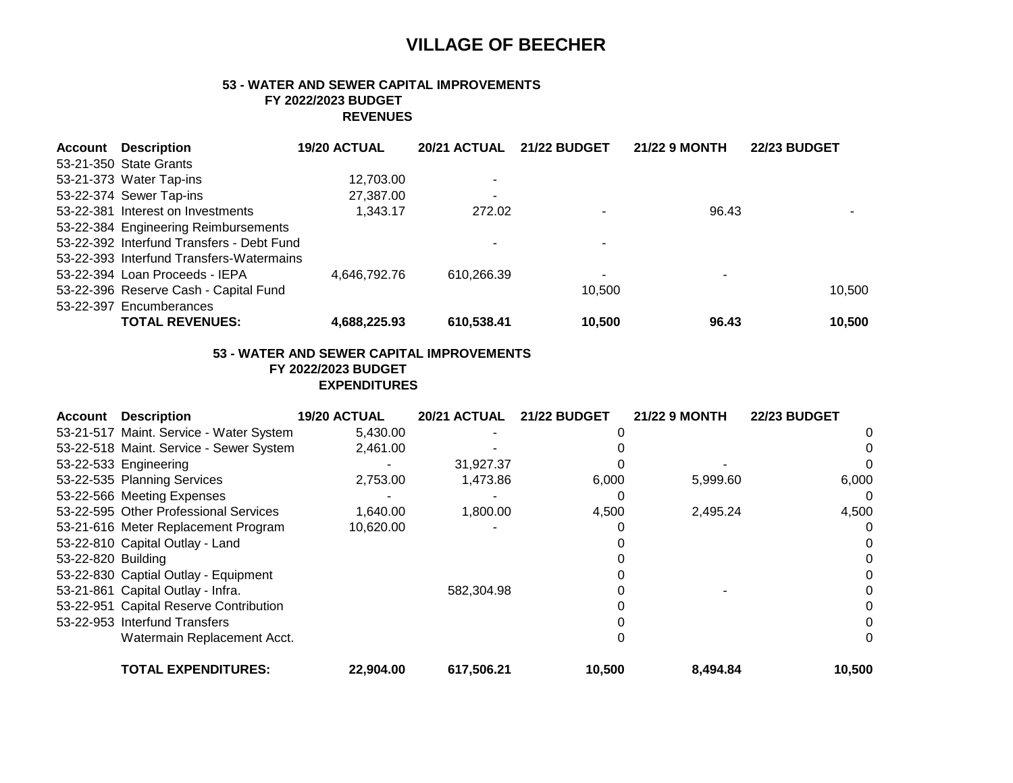### **53 - WATER AND SEWER CAPITAL IMPROVEMENTS FY 2022/2023 BUDGET REVENUES**

| Account | Description                               | 19/20 ACTUAL | 20/21 ACTUAL             | <b>21/22 BUDGET</b>      | <b>21/22 9 MONTH</b> | <b>22/23 BUDGET</b> |
|---------|-------------------------------------------|--------------|--------------------------|--------------------------|----------------------|---------------------|
|         | 53-21-350 State Grants                    |              |                          |                          |                      |                     |
|         | 53-21-373 Water Tap-ins                   | 12,703.00    | $\overline{\phantom{a}}$ |                          |                      |                     |
|         | 53-22-374 Sewer Tap-ins                   | 27,387.00    | $\overline{\phantom{a}}$ |                          |                      |                     |
|         | 53-22-381 Interest on Investments         | 1.343.17     | 272.02                   |                          | 96.43                |                     |
|         | 53-22-384 Engineering Reimbursements      |              |                          |                          |                      |                     |
|         | 53-22-392 Interfund Transfers - Debt Fund |              | ٠                        | ۰                        |                      |                     |
|         | 53-22-393 Interfund Transfers-Watermains  |              |                          |                          |                      |                     |
|         | 53-22-394 Loan Proceeds - IEPA            | 4.646.792.76 | 610,266.39               | $\overline{\phantom{0}}$ | ۰                    |                     |
|         | 53-22-396 Reserve Cash - Capital Fund     |              |                          | 10,500                   |                      | 10,500              |
|         | 53-22-397 Encumberances                   |              |                          |                          |                      |                     |
|         | <b>TOTAL REVENUES:</b>                    | 4,688,225.93 | 610.538.41               | 10.500                   | 96.43                | 10.500              |

### **53 - WATER AND SEWER CAPITAL IMPROVEMENTS**

 **FY 2022/2023 BUDGET**

 **EXPENDITURES**

| <b>Account</b>     | <b>Description</b>                      | 19/20 ACTUAL | 20/21 ACTUAL | <b>21/22 BUDGET</b> | <b>21/22 9 MONTH</b> | <b>22/23 BUDGET</b> |
|--------------------|-----------------------------------------|--------------|--------------|---------------------|----------------------|---------------------|
|                    | 53-21-517 Maint. Service - Water System | 5,430.00     |              |                     |                      |                     |
|                    | 53-22-518 Maint. Service - Sewer System | 2,461.00     |              |                     |                      |                     |
|                    | 53-22-533 Engineering                   |              | 31,927.37    |                     |                      |                     |
|                    | 53-22-535 Planning Services             | 2,753.00     | 1,473.86     | 6,000               | 5,999.60             | 6,000               |
|                    | 53-22-566 Meeting Expenses              |              |              |                     |                      |                     |
|                    | 53-22-595 Other Professional Services   | 1,640.00     | 1,800.00     | 4,500               | 2,495.24             | 4,500               |
|                    | 53-21-616 Meter Replacement Program     | 10,620.00    |              |                     |                      |                     |
|                    | 53-22-810 Capital Outlay - Land         |              |              |                     |                      |                     |
| 53-22-820 Building |                                         |              |              |                     |                      |                     |
|                    | 53-22-830 Captial Outlay - Equipment    |              |              |                     |                      |                     |
|                    | 53-21-861 Capital Outlay - Infra.       |              | 582,304.98   |                     |                      |                     |
|                    | 53-22-951 Capital Reserve Contribution  |              |              |                     |                      |                     |
|                    | 53-22-953 Interfund Transfers           |              |              |                     |                      |                     |
|                    | Watermain Replacement Acct.             |              |              |                     |                      | $\Omega$            |
|                    | <b>TOTAL EXPENDITURES:</b>              | 22,904.00    | 617,506.21   | 10,500              | 8,494.84             | 10,500              |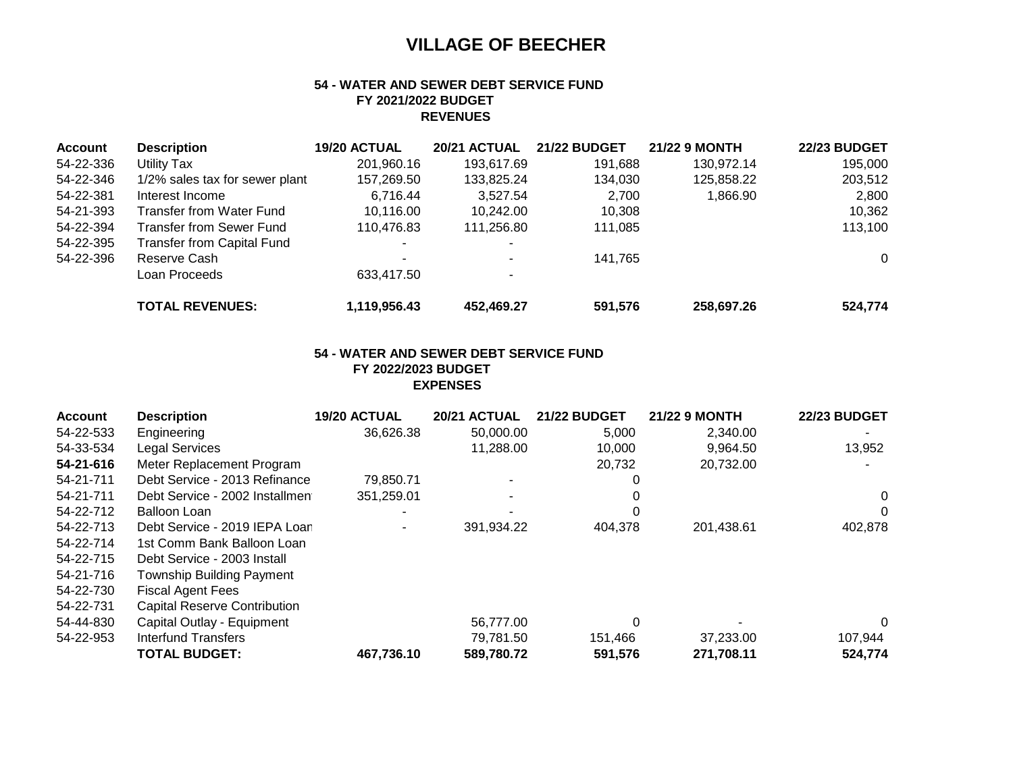### **54 - WATER AND SEWER DEBT SERVICE FUND FY 2021/2022 BUDGET REVENUES**

| <b>Account</b> | <b>Description</b>                | 19/20 ACTUAL | <b>20/21 ACTUAL</b> | <b>21/22 BUDGET</b> | <b>21/22 9 MONTH</b> | <b>22/23 BUDGET</b> |
|----------------|-----------------------------------|--------------|---------------------|---------------------|----------------------|---------------------|
| 54-22-336      | Utility Tax                       | 201,960.16   | 193.617.69          | 191,688             | 130,972.14           | 195.000             |
| 54-22-346      | 1/2% sales tax for sewer plant    | 157,269.50   | 133,825.24          | 134.030             | 125,858.22           | 203,512             |
| 54-22-381      | Interest Income                   | 6.716.44     | 3,527.54            | 2.700               | 1,866.90             | 2,800               |
| 54-21-393      | Transfer from Water Fund          | 10,116.00    | 10.242.00           | 10,308              |                      | 10,362              |
| 54-22-394      | <b>Transfer from Sewer Fund</b>   | 110,476.83   | 111,256.80          | 111,085             |                      | 113,100             |
| 54-22-395      | <b>Transfer from Capital Fund</b> |              |                     |                     |                      |                     |
| 54-22-396      | Reserve Cash                      | -            |                     | 141.765             |                      | $\Omega$            |
|                | Loan Proceeds                     | 633,417.50   |                     |                     |                      |                     |
|                | <b>TOTAL REVENUES:</b>            | 1,119,956.43 | 452.469.27          | 591,576             | 258,697.26           | 524,774             |

### **54 - WATER AND SEWER DEBT SERVICE FUND FY 2022/2023 BUDGET EXPENSES**

| <b>Account</b> | <b>Description</b>                  | 19/20 ACTUAL | 20/21 ACTUAL | <b>21/22 BUDGET</b> | <b>21/22 9 MONTH</b> | <b>22/23 BUDGET</b> |
|----------------|-------------------------------------|--------------|--------------|---------------------|----------------------|---------------------|
| 54-22-533      | Engineering                         | 36,626.38    | 50,000.00    | 5,000               | 2,340.00             |                     |
| 54-33-534      | <b>Legal Services</b>               |              | 11,288.00    | 10,000              | 9,964.50             | 13,952              |
| 54-21-616      | Meter Replacement Program           |              |              | 20,732              | 20,732.00            |                     |
| 54-21-711      | Debt Service - 2013 Refinance       | 79,850.71    |              |                     |                      |                     |
| 54-21-711      | Debt Service - 2002 Installmen      | 351,259.01   |              |                     |                      | 0                   |
| 54-22-712      | Balloon Loan                        | -            |              |                     |                      | 0                   |
| 54-22-713      | Debt Service - 2019 IEPA Loan       |              | 391,934.22   | 404,378             | 201,438.61           | 402,878             |
| 54-22-714      | 1st Comm Bank Balloon Loan          |              |              |                     |                      |                     |
| 54-22-715      | Debt Service - 2003 Install         |              |              |                     |                      |                     |
| 54-21-716      | <b>Township Building Payment</b>    |              |              |                     |                      |                     |
| 54-22-730      | <b>Fiscal Agent Fees</b>            |              |              |                     |                      |                     |
| 54-22-731      | <b>Capital Reserve Contribution</b> |              |              |                     |                      |                     |
| 54-44-830      | Capital Outlay - Equipment          |              | 56,777.00    |                     |                      | $\Omega$            |
| 54-22-953      | <b>Interfund Transfers</b>          |              | 79.781.50    | 151,466             | 37,233.00            | 107,944             |
|                | <b>TOTAL BUDGET:</b>                | 467,736.10   | 589.780.72   | 591,576             | 271,708.11           | 524,774             |